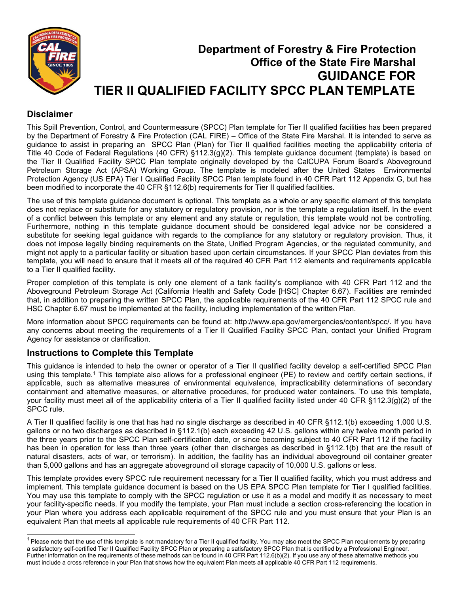

# **Department of Forestry & Fire Protection Office of the State Fire Marshal GUIDANCE FOR TIER II QUALIFIED FACILITY SPCC PLAN TEMPLATE**

## **Disclaimer**

This Spill Prevention, Control, and Countermeasure (SPCC) Plan template for Tier II qualified facilities has been prepared by the Department of Forestry & Fire Protection (CAL FIRE) – Office of the State Fire Marshal. It is intended to serve as guidance to assist in preparing an SPCC Plan (Plan) for Tier II qualified facilities meeting the applicability criteria of Title 40 Code of Federal Regulations (40 CFR) §112.3(g)(2). This template guidance document (template) is based on the Tier II Qualified Facility SPCC Plan template originally developed by the CalCUPA Forum Board's Aboveground Petroleum Storage Act (APSA) Working Group. The template is modeled after the United States Environmental Protection Agency (US EPA) Tier I Qualified Facility SPCC Plan template found in 40 CFR Part 112 Appendix G, but has been modified to incorporate the 40 CFR §112.6(b) requirements for Tier II qualified facilities.

The use of this template guidance document is optional. This template as a whole or any specific element of this template does not replace or substitute for any statutory or regulatory provision, nor is the template a regulation itself. In the event of a conflict between this template or any element and any statute or regulation, this template would not be controlling. Furthermore, nothing in this template guidance document should be considered legal advice nor be considered a substitute for seeking legal guidance with regards to the compliance for any statutory or regulatory provision. Thus, it does not impose legally binding requirements on the State, Unified Program Agencies, or the regulated community, and might not apply to a particular facility or situation based upon certain circumstances. If your SPCC Plan deviates from this template, you will need to ensure that it meets all of the required 40 CFR Part 112 elements and requirements applicable to a Tier II qualified facility.

Proper completion of this template is only one element of a tank facility's compliance with 40 CFR Part 112 and the Aboveground Petroleum Storage Act (California Health and Safety Code [HSC] Chapter 6.67). Facilities are reminded that, in addition to preparing the written SPCC Plan, the applicable requirements of the 40 CFR Part 112 SPCC rule and HSC Chapter 6.67 must be implemented at the facility, including implementation of the written Plan.

More information about SPCC requirements can be found at: [http://www.epa.gov/emergencies/content/spcc/.](http://www.epa.gov/emergencies/content/spcc/) If you have any concerns about meeting the requirements of a Tier II Qualified Facility SPCC Plan, contact your Unified Program Agency for assistance or clarification.

## **Instructions to Complete this Template**

This guidance is intended to help the owner or operator of a Tier II qualified facility develop a self-certified SPCC Plan using this template.1 This template also allows for a professional engineer (PE) to review and certify certain sections, if applicable, such as alternative measures of environmental equivalence, impracticability determinations of secondary containment and alternative measures, or alternative procedures, for produced water containers. To use this template, your facility must meet all of the applicability criteria of a Tier II qualified facility listed under 40 CFR §112.3(g)(2) of the SPCC rule.

A Tier II qualified facility is one that has had no single discharge as described in 40 CFR §112.1(b) exceeding 1,000 U.S. gallons or no two discharges as described in §112.1(b) each exceeding 42 U.S. gallons within any twelve month period in the three years prior to the SPCC Plan self-certification date, or since becoming subject to 40 CFR Part 112 if the facility has been in operation for less than three years (other than discharges as described in §112.1(b) that are the result of natural disasters, acts of war, or terrorism). In addition, the facility has an individual aboveground oil container greater than 5,000 gallons and has an aggregate aboveground oil storage capacity of 10,000 U.S. gallons or less.

This template provides every SPCC rule requirement necessary for a Tier II qualified facility, which you must address and implement. This template guidance document is based on the US EPA SPCC Plan template for Tier I qualified facilities. You may use this template to comply with the SPCC regulation or use it as a model and modify it as necessary to meet your facility-specific needs. If you modify the template, your Plan must include a section cross-referencing the location in your Plan where you address each applicable requirement of the SPCC rule and you must ensure that your Plan is an equivalent Plan that meets all applicable rule requirements of 40 CFR Part 112.

 $^{\rm 1}$ Please note that the use of this template is not mandatory for a Tier II qualified facility. You may also meet the SPCC Plan requirements by preparing a satisfactory self-certified Tier II Qualified Facility SPCC Plan or preparing a satisfactory SPCC Plan that is certified by a Professional Engineer. Further information on the requirements of these methods can be found in 40 CFR Part 112.6(b)(2). If you use any of these alternative methods you must include a cross reference in your Plan that shows how the equivalent Plan meets all applicable 40 CFR Part 112 requirements.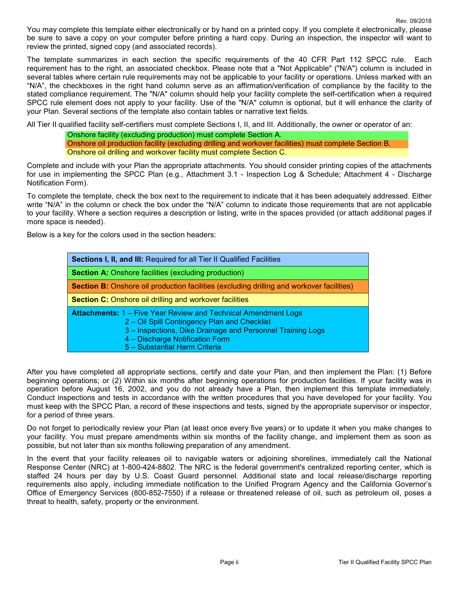You may complete this template either electronically or by hand on a printed copy. If you complete it electronically, please be sure to save a copy on your computer before printing a hard copy. During an inspection, the inspector will want to review the printed, signed copy (and associated records).

The template summarizes in each section the specific requirements of the 40 CFR Part 112 SPCC rule. Each requirement has to the right, an associated checkbox. Please note that a "Not Applicable" ("N/A") column is included in several tables where certain rule requirements may not be applicable to your facility or operations. Unless marked with an "N/A", the checkboxes in the right hand column serve as an affirmation/verification of compliance by the facility to the stated compliance requirement. The "N/A" column should help your facility complete the self-certification when a required SPCC rule element does not apply to your facility. Use of the "N/A" column is optional, but it will enhance the clarity of your Plan. Several sections of the template also contain tables or narrative text fields.

All Tier II qualified facility self-certifiers must complete Sections I, II, and III. Additionally, the owner or operator of an:

Onshore facility (excluding production) must complete Section A. Onshore oil production facility (excluding drilling and workover facilities) must complete Section B. Onshore oil drilling and workover facility must complete Section C.

Complete and include with your Plan the appropriate attachments. You should consider printing copies of the attachments for use in implementing the SPCC Plan (e.g., Attachment 3.1 - Inspection Log & Schedule; Attachment 4 - Discharge Notification Form).

To complete the template, check the box next to the requirement to indicate that it has been adequately addressed. Either write "N/A" in the column or check the box under the "N/A" column to indicate those requirements that are not applicable to your facility. Where a section requires a description or listing, write in the spaces provided (or attach additional pages if more space is needed).

Below is a key for the colors used in the section headers:

| Sections I, II, and III: Required for all Tier II Qualified Facilities                                                                                                                                                                                  |
|---------------------------------------------------------------------------------------------------------------------------------------------------------------------------------------------------------------------------------------------------------|
| <b>Section A: Onshore facilities (excluding production)</b>                                                                                                                                                                                             |
| <b>Section B:</b> Onshore oil production facilities (excluding drilling and workover facilities)                                                                                                                                                        |
| <b>Section C:</b> Onshore oil drilling and workover facilities                                                                                                                                                                                          |
| <b>Attachments: 1 – Five Year Review and Technical Amendment Logs</b><br>2 – Oil Spill Contingency Plan and Checklist<br>3 - Inspections, Dike Drainage and Personnel Training Logs<br>4 - Discharge Notification Form<br>5 - Substantial Harm Criteria |

After you have completed all appropriate sections, certify and date your Plan, and then implement the Plan: (1) Before beginning operations; or (2) Within six months after beginning operations for production facilities. If your facility was in operation before August 16, 2002, and you do not already have a Plan, then implement this template immediately. Conduct inspections and tests in accordance with the written procedures that you have developed for your facility. You must keep with the SPCC Plan, a record of these inspections and tests, signed by the appropriate supervisor or inspector, for a period of three years.

Do not forget to periodically review your Plan (at least once every five years) or to update it when you make changes to your facility. You must prepare amendments within six months of the facility change, and implement them as soon as possible, but not later than six months following preparation of any amendment.

In the event that your facility releases oil to navigable waters or adjoining shorelines, immediately call the National Response Center (NRC) at 1-800-424-8802. The NRC is the federal government's centralized reporting center, which is staffed 24 hours per day by U.S. Coast Guard personnel. Additional state and local release/discharge reporting requirements also apply, including immediate notification to the Unified Program Agency and the California Governor's Office of Emergency Services (800-852-7550) if a release or threatened release of oil, such as petroleum oil, poses a threat to health, safety, property or the environment.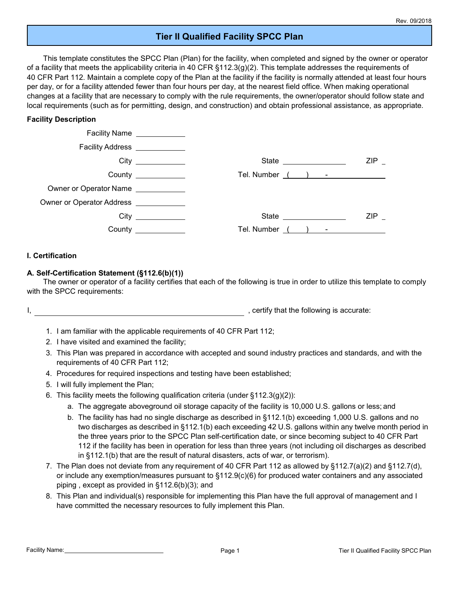## **Tier II Qualified Facility SPCC Plan**

This template constitutes the SPCC Plan (Plan) for the facility, when completed and signed by the owner or operator of a facility that meets the applicability criteria in 40 CFR  $\S112.3(g)(2)$ . This template addresses the requirements of 40 CFR Part 112. Maintain a complete copy of the Plan at the facility if the facility is normally attended at least four hours per day, or for a facility attended fewer than four hours per day, at the nearest field office. When making operational changes at a facility that are necessary to comply with the rule requirements, the owner/operator should follow state and local requirements (such as for permitting, design, and construction) and obtain professional assistance, as appropriate.

#### **Facility Description**

|                                                          | Facility Name ____________ |                       |     |
|----------------------------------------------------------|----------------------------|-----------------------|-----|
| Facility Address <b>Facility</b> Address <b>Facility</b> |                            |                       |     |
|                                                          |                            | State _______________ | ZIP |
|                                                          | County $\frac{1}{2}$       |                       |     |
| Owner or Operator Name                                   |                            |                       |     |
| Owner or Operator Address _____________                  |                            |                       |     |
|                                                          |                            |                       | ZIP |
|                                                          | <b>County County</b>       | Tel. Number<br>$\sim$ |     |

#### **I. Certification**

#### **A. Self-Certification Statement (§112.6(b)(1))**

The owner or operator of a facility certifies that each of the following is true in order to utilize this template to comply with the SPCC requirements:

I, the following is accurate:  $\blacksquare$ 

- 1. I am familiar with the applicable requirements of 40 CFR Part 112;
- 2. I have visited and examined the facility;
- 3. This Plan was prepared in accordance with accepted and sound industry practices and standards, and with the requirements of 40 CFR Part 112;
- 4. Procedures for required inspections and testing have been established;
- 5. I will fully implement the Plan;
- 6. This facility meets the following qualification criteria (under  $\S 112.3(g)(2)$ ):
	- a. The aggregate aboveground oil storage capacity of the facility is 10,000 U.S. gallons or less; and
	- b. The facility has had no single discharge as described in §112.1(b) exceeding 1,000 U.S. gallons and no two discharges as described in §112.1(b) each exceeding 42 U.S. gallons within any twelve month period in the three years prior to the SPCC Plan self-certification date, or since becoming subject to 40 CFR Part 112 if the facility has been in operation for less than three years (not including oil discharges as described in §112.1(b) that are the result of natural disasters, acts of war, or terrorism).
- 7. The Plan does not deviate from any requirement of 40 CFR Part 112 as allowed by §112.7(a)(2) and §112.7(d), or include any exemption/measures pursuant to §112.9(c)(6) for produced water containers and any associated piping , except as provided in §112.6(b)(3); and
- 8. This Plan and individual(s) responsible for implementing this Plan have the full approval of management and I have committed the necessary resources to fully implement this Plan.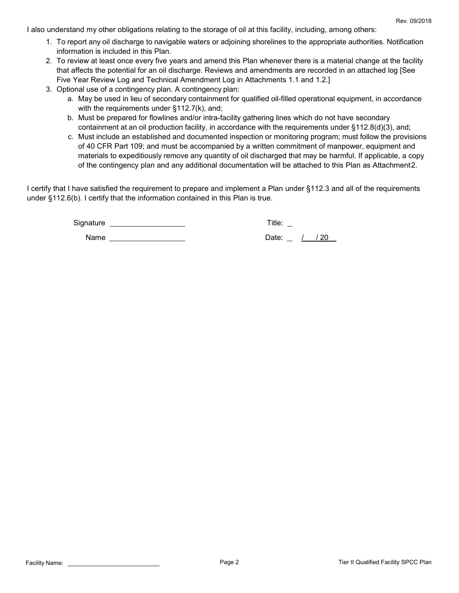I also understand my other obligations relating to the storage of oil at this facility, including, among others:

- 1. To report any oil discharge to navigable waters or adjoining shorelines to the appropriate authorities. Notification information is included in this Plan.
- 2. To review at least once every five years and amend this Plan whenever there is a material change at the facility that affects the potential for an oil discharge. Reviews and amendments are recorded in an attached log [See Five Year Review Log and Technical Amendment Log in Attachments 1.1 and 1.2.]
- 3. Optional use of a contingency plan. A contingency plan:
	- a. May be used in lieu of secondary containment for qualified oil-filled operational equipment, in accordance with the requirements under §112.7(k), and;
	- b. Must be prepared for flowlines and/or intra-facility gathering lines which do not have secondary containment at an oil production facility, in accordance with the requirements under §112.8(d)(3), and;
	- c. Must include an established and documented inspection or monitoring program; must follow the provisions of 40 CFR Part 109; and must be accompanied by a written commitment of manpower, equipment and materials to expeditiously remove any quantity of oil discharged that may be harmful. If applicable, a copy of the contingency plan and any additional documentation will be attached to this Plan as Attachment2.

I certify that I have satisfied the requirement to prepare and implement a Plan under §112.3 and all of the requirements under §112.6(b). I certify that the information contained in this Plan is true.

Signature Title:

Name Date: / / 20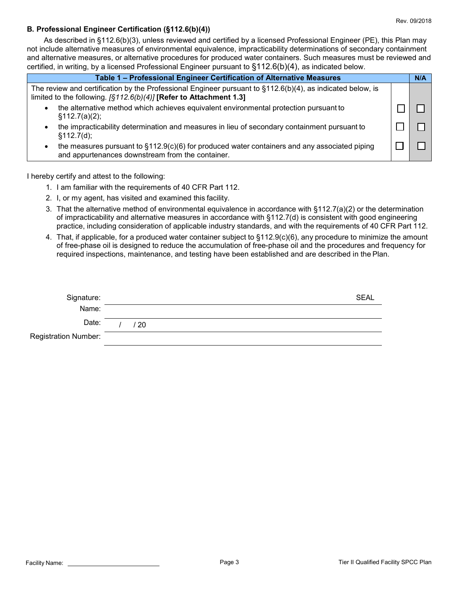#### **B. Professional Engineer Certification (§112.6(b)(4))**

As described in §112.6(b)(3), unless reviewed and certified by a licensed Professional Engineer (PE), this Plan may not include alternative measures of environmental equivalence, impracticability determinations of secondary containment and alternative measures, or alternative procedures for produced water containers. Such measures must be reviewed and certified, in writing, by a licensed Professional Engineer pursuant to §112.6(b)(4), as indicated below.

|                            | Table 1 - Professional Engineer Certification of Alternative Measures                                                                                                                  | N/A |
|----------------------------|----------------------------------------------------------------------------------------------------------------------------------------------------------------------------------------|-----|
|                            | The review and certification by the Professional Engineer pursuant to $\S112.6(b)(4)$ , as indicated below, is<br>limited to the following. $[$112.6(b)(4)]$ [Refer to Attachment 1.3] |     |
| $\bullet$<br>§112.7(a)(2); | the alternative method which achieves equivalent environmental protection pursuant to                                                                                                  |     |
| \$112.7(d);                | the impracticability determination and measures in lieu of secondary containment pursuant to                                                                                           |     |
|                            | the measures pursuant to $\S112.9(c)(6)$ for produced water containers and any associated piping<br>and appurtenances downstream from the container.                                   |     |

I hereby certify and attest to the following:

- 1. I am familiar with the requirements of 40 CFR Part 112.
- 2. I, or my agent, has visited and examined this facility.
- 3. That the alternative method of environmental equivalence in accordance with §112.7(a)(2) or the determination of impracticability and alternative measures in accordance with §112.7(d) is consistent with good engineering practice, including consideration of applicable industry standards, and with the requirements of 40 CFR Part 112.
- 4. That, if applicable, for a produced water container subject to §112.9(c)(6), any procedure to minimize the amount of free-phase oil is designed to reduce the accumulation of free-phase oil and the procedures and frequency for required inspections, maintenance, and testing have been established and are described in the Plan.

| Signature:           |    | <b>SEAL</b> |
|----------------------|----|-------------|
| Name:                |    |             |
| Date:                | 20 |             |
| Registration Number: |    |             |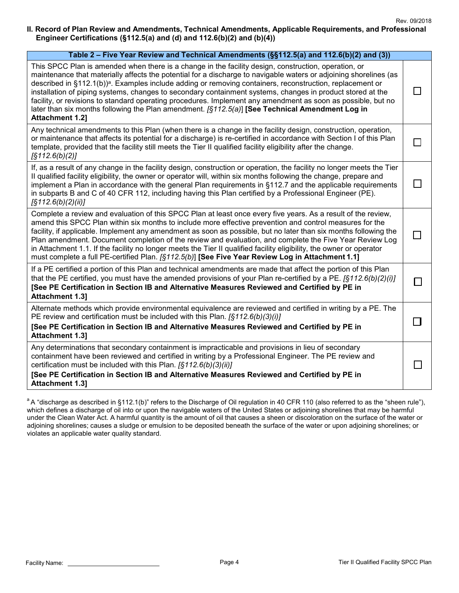#### **II. Record of Plan Review and Amendments, Technical Amendments, Applicable Requirements, and Professional Engineer Certifications (§112.5(a) and (d) and 112.6(b)(2) and (b)(4))**

| Table 2 - Five Year Review and Technical Amendments (§§112.5(a) and 112.6(b)(2) and (3))                                                                                                                                                                                                                                                                                                                                                                                                                                                                                                                                                                                                                        |  |
|-----------------------------------------------------------------------------------------------------------------------------------------------------------------------------------------------------------------------------------------------------------------------------------------------------------------------------------------------------------------------------------------------------------------------------------------------------------------------------------------------------------------------------------------------------------------------------------------------------------------------------------------------------------------------------------------------------------------|--|
| This SPCC Plan is amended when there is a change in the facility design, construction, operation, or<br>maintenance that materially affects the potential for a discharge to navigable waters or adjoining shorelines (as<br>described in §112.1(b)) <sup>a</sup> . Examples include adding or removing containers, reconstruction, replacement or<br>installation of piping systems, changes to secondary containment systems, changes in product stored at the<br>facility, or revisions to standard operating procedures. Implement any amendment as soon as possible, but no<br>later than six months following the Plan amendment. $[§112.5(a)]$ [See Technical Amendment Log in<br><b>Attachment 1.2]</b> |  |
| Any technical amendments to this Plan (when there is a change in the facility design, construction, operation,<br>or maintenance that affects its potential for a discharge) is re-certified in accordance with Section I of this Plan<br>template, provided that the facility still meets the Tier II qualified facility eligibility after the change.<br>[S112.6(b)(2)]                                                                                                                                                                                                                                                                                                                                       |  |
| If, as a result of any change in the facility design, construction or operation, the facility no longer meets the Tier<br>II qualified facility eligibility, the owner or operator will, within six months following the change, prepare and<br>implement a Plan in accordance with the general Plan requirements in §112.7 and the applicable requirements<br>in subparts B and C of 40 CFR 112, including having this Plan certified by a Professional Engineer (PE).<br>$\left[\frac{5}{12.6(b)}(2)(ii)\right]$                                                                                                                                                                                              |  |
| Complete a review and evaluation of this SPCC Plan at least once every five years. As a result of the review,<br>amend this SPCC Plan within six months to include more effective prevention and control measures for the<br>facility, if applicable. Implement any amendment as soon as possible, but no later than six months following the<br>Plan amendment. Document completion of the review and evaluation, and complete the Five Year Review Log<br>in Attachment 1.1. If the facility no longer meets the Tier II qualified facility eligibility, the owner or operator<br>must complete a full PE-certified Plan. [§112.5(b)] [See Five Year Review Log in Attachment 1.1]                            |  |
| If a PE certified a portion of this Plan and technical amendments are made that affect the portion of this Plan<br>that the PE certified, you must have the amended provisions of your Plan re-certified by a PE. $[§112.6(b)(2)(i)]$<br>[See PE Certification in Section IB and Alternative Measures Reviewed and Certified by PE in<br><b>Attachment 1.3]</b>                                                                                                                                                                                                                                                                                                                                                 |  |
| Alternate methods which provide environmental equivalence are reviewed and certified in writing by a PE. The<br>PE review and certification must be included with this Plan. [§112.6(b)(3)(i)]<br>[See PE Certification in Section IB and Alternative Measures Reviewed and Certified by PE in<br><b>Attachment 1.31</b>                                                                                                                                                                                                                                                                                                                                                                                        |  |
| Any determinations that secondary containment is impracticable and provisions in lieu of secondary<br>containment have been reviewed and certified in writing by a Professional Engineer. The PE review and<br>certification must be included with this Plan. [§112.6(b)(3)(ii)]<br>[See PE Certification in Section IB and Alternative Measures Reviewed and Certified by PE in<br><b>Attachment 1.3]</b>                                                                                                                                                                                                                                                                                                      |  |

 $a$  A "discharge as described in §112.1(b)" refers to the Discharge of Oil regulation in 40 CFR 110 (also referred to as the "sheen rule"), which defines a discharge of oil into or upon the navigable waters of the United States or adjoining shorelines that may be harmful under the Clean Water Act. A harmful quantity is the amount of oil that causes a sheen or discoloration on the surface of the water or adjoining shorelines; causes a sludge or emulsion to be deposited beneath the surface of the water or upon adjoining shorelines; or violates an applicable water quality standard.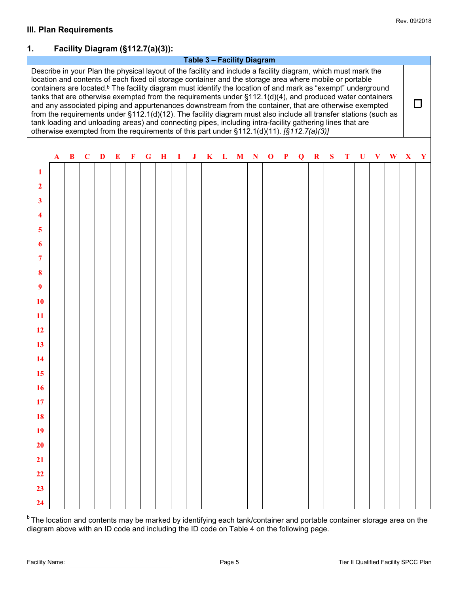## **1. Facility Diagram (§112.7(a)(3)):**

**Table 3 – Facility Diagram**



**b** The location and contents may be marked by identifying each tank/container and portable container storage area on the diagram above with an ID code and including the ID code on Table 4 on the following page.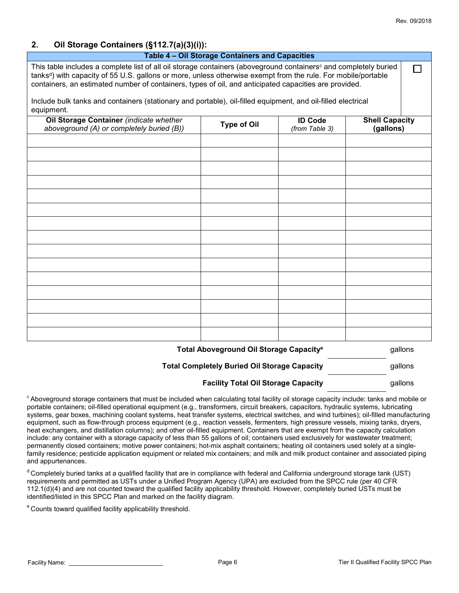### **2. Oil Storage Containers (§112.7(a)(3)(i)):**

| Table 4 - Oil Storage Containers and Capacities                                                                                                                                                                                                                                                                                                                    |                                                     |                                  |                                    |
|--------------------------------------------------------------------------------------------------------------------------------------------------------------------------------------------------------------------------------------------------------------------------------------------------------------------------------------------------------------------|-----------------------------------------------------|----------------------------------|------------------------------------|
| This table includes a complete list of all oil storage containers (aboveground containers <sup>c</sup> and completely buried<br>tanks <sup>d</sup> ) with capacity of 55 U.S. gallons or more, unless otherwise exempt from the rule. For mobile/portable<br>containers, an estimated number of containers, types of oil, and anticipated capacities are provided. |                                                     |                                  | LΙ                                 |
| Include bulk tanks and containers (stationary and portable), oil-filled equipment, and oil-filled electrical<br>equipment.                                                                                                                                                                                                                                         |                                                     |                                  |                                    |
| Oil Storage Container (indicate whether<br>aboveground (A) or completely buried (B))                                                                                                                                                                                                                                                                               | <b>Type of Oil</b>                                  | <b>ID Code</b><br>(from Table 3) | <b>Shell Capacity</b><br>(gallons) |
|                                                                                                                                                                                                                                                                                                                                                                    |                                                     |                                  |                                    |
|                                                                                                                                                                                                                                                                                                                                                                    |                                                     |                                  |                                    |
|                                                                                                                                                                                                                                                                                                                                                                    |                                                     |                                  |                                    |
|                                                                                                                                                                                                                                                                                                                                                                    |                                                     |                                  |                                    |
|                                                                                                                                                                                                                                                                                                                                                                    |                                                     |                                  |                                    |
|                                                                                                                                                                                                                                                                                                                                                                    |                                                     |                                  |                                    |
|                                                                                                                                                                                                                                                                                                                                                                    |                                                     |                                  |                                    |
|                                                                                                                                                                                                                                                                                                                                                                    |                                                     |                                  |                                    |
|                                                                                                                                                                                                                                                                                                                                                                    |                                                     |                                  |                                    |
|                                                                                                                                                                                                                                                                                                                                                                    | Total Aboveground Oil Storage Capacity <sup>e</sup> |                                  | gallons                            |

| <b>Total Completely Buried Oil Storage Capacity</b> | gallons |
|-----------------------------------------------------|---------|
|-----------------------------------------------------|---------|

#### **Facility Total Oil Storage Capacity** Gallons gallons

<sup>c</sup> Aboveground storage containers that must be included when calculating total facility oil storage capacity include: tanks and mobile or portable containers; oil-filled operational equipment (e.g., transformers, circuit breakers, capacitors, hydraulic systems, lubricating systems, gear boxes, machining coolant systems, heat transfer systems, electrical switches, and wind turbines); oil-filled manufacturing equipment, such as flow-through process equipment (e.g., reaction vessels, fermenters, high pressure vessels, mixing tanks, dryers, heat exchangers, and distillation columns); and other oil-filled equipment. Containers that are exempt from the capacity calculation include: any container with a storage capacity of less than 55 gallons of oil; containers used exclusively for wastewater treatment; permanently closed containers; motive power containers; hot-mix asphalt containers; heating oil containers used solely at a singlefamily residence; pesticide application equipment or related mix containers; and milk and milk product container and associated piping and appurtenances.

<sup>d</sup> Completely buried tanks at a qualified facility that are in compliance with federal and California underground storage tank (UST) requirements and permitted as USTs under a Unified Program Agency (UPA) are excluded from the SPCC rule (per 40 CFR 112.1(d)(4) and are not counted toward the qualified facility applicability threshold. However, completely buried USTs must be identified/listed in this SPCC Plan and marked on the facility diagram.

e Counts toward qualified facility applicability threshold.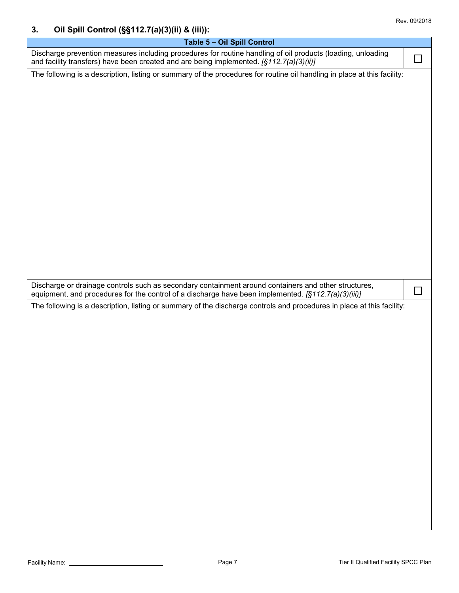## **3. Oil Spill Control (§§112.7(a)(3)(ii) & (iii)):**

| Table 5 - Oil Spill Control                                                                                                                                                                                 |        |
|-------------------------------------------------------------------------------------------------------------------------------------------------------------------------------------------------------------|--------|
| Discharge prevention measures including procedures for routine handling of oil products (loading, unloading<br>and facility transfers) have been created and are being implemented. [§112.7(a)(3)(ii)]      |        |
| The following is a description, listing or summary of the procedures for routine oil handling in place at this facility:                                                                                    |        |
|                                                                                                                                                                                                             |        |
|                                                                                                                                                                                                             |        |
|                                                                                                                                                                                                             |        |
|                                                                                                                                                                                                             |        |
|                                                                                                                                                                                                             |        |
|                                                                                                                                                                                                             |        |
|                                                                                                                                                                                                             |        |
|                                                                                                                                                                                                             |        |
|                                                                                                                                                                                                             |        |
|                                                                                                                                                                                                             |        |
|                                                                                                                                                                                                             |        |
|                                                                                                                                                                                                             |        |
| Discharge or drainage controls such as secondary containment around containers and other structures,<br>equipment, and procedures for the control of a discharge have been implemented. [§112.7(a)(3)(iii)] | $\Box$ |
| The following is a description, listing or summary of the discharge controls and procedures in place at this facility:                                                                                      |        |
|                                                                                                                                                                                                             |        |
|                                                                                                                                                                                                             |        |
|                                                                                                                                                                                                             |        |
|                                                                                                                                                                                                             |        |
|                                                                                                                                                                                                             |        |
|                                                                                                                                                                                                             |        |
|                                                                                                                                                                                                             |        |
|                                                                                                                                                                                                             |        |
|                                                                                                                                                                                                             |        |
|                                                                                                                                                                                                             |        |
|                                                                                                                                                                                                             |        |
|                                                                                                                                                                                                             |        |
|                                                                                                                                                                                                             |        |
|                                                                                                                                                                                                             |        |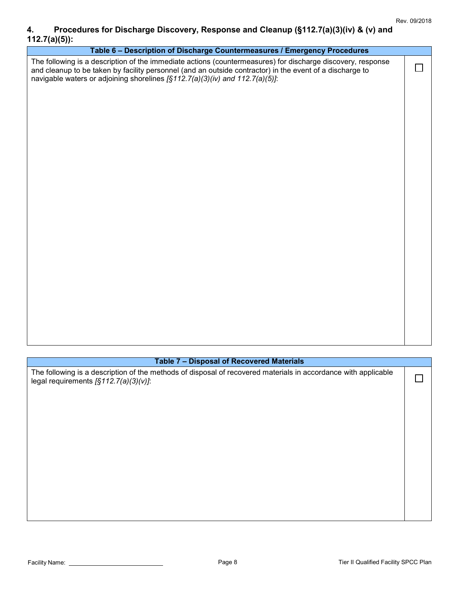## **4. Procedures for Discharge Discovery, Response and Cleanup (§112.7(a)(3)(iv) & (v) and 112.7(a)(5)):**

| Table 6 - Description of Discharge Countermeasures / Emergency Procedures                                                                                                                                                                                                                               |    |
|---------------------------------------------------------------------------------------------------------------------------------------------------------------------------------------------------------------------------------------------------------------------------------------------------------|----|
| The following is a description of the immediate actions (countermeasures) for discharge discovery, response<br>and cleanup to be taken by facility personnel (and an outside contractor) in the event of a discharge to<br>navigable waters or adjoining shorelines [§112.7(a)(3)(iv) and 112.7(a)(5)]: | I. |
|                                                                                                                                                                                                                                                                                                         |    |
|                                                                                                                                                                                                                                                                                                         |    |
|                                                                                                                                                                                                                                                                                                         |    |
|                                                                                                                                                                                                                                                                                                         |    |
|                                                                                                                                                                                                                                                                                                         |    |
|                                                                                                                                                                                                                                                                                                         |    |
|                                                                                                                                                                                                                                                                                                         |    |
|                                                                                                                                                                                                                                                                                                         |    |

### **Table 7 – Disposal of Recovered Materials**

The following is a description of the methods of disposal of recovered materials in accordance with applicable legal requirements *[§112.7(a)(3)(v)]*:

 $\Box$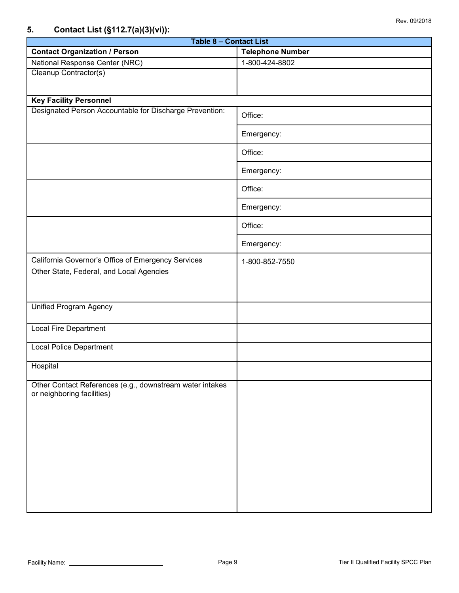## **5. Contact List (§112.7(a)(3)(vi)):**

| .<br><b>Table 8 - Contact List</b>                                                     |                         |  |  |  |
|----------------------------------------------------------------------------------------|-------------------------|--|--|--|
| <b>Contact Organization / Person</b>                                                   | <b>Telephone Number</b> |  |  |  |
| National Response Center (NRC)                                                         | 1-800-424-8802          |  |  |  |
| Cleanup Contractor(s)                                                                  |                         |  |  |  |
| <b>Key Facility Personnel</b>                                                          |                         |  |  |  |
| Designated Person Accountable for Discharge Prevention:                                | Office:                 |  |  |  |
|                                                                                        | Emergency:              |  |  |  |
|                                                                                        | Office:                 |  |  |  |
|                                                                                        | Emergency:              |  |  |  |
|                                                                                        | Office:                 |  |  |  |
|                                                                                        | Emergency:              |  |  |  |
|                                                                                        | Office:                 |  |  |  |
|                                                                                        | Emergency:              |  |  |  |
| California Governor's Office of Emergency Services                                     | 1-800-852-7550          |  |  |  |
| Other State, Federal, and Local Agencies                                               |                         |  |  |  |
| <b>Unified Program Agency</b>                                                          |                         |  |  |  |
| <b>Local Fire Department</b>                                                           |                         |  |  |  |
| <b>Local Police Department</b>                                                         |                         |  |  |  |
| Hospital                                                                               |                         |  |  |  |
| Other Contact References (e.g., downstream water intakes<br>or neighboring facilities) |                         |  |  |  |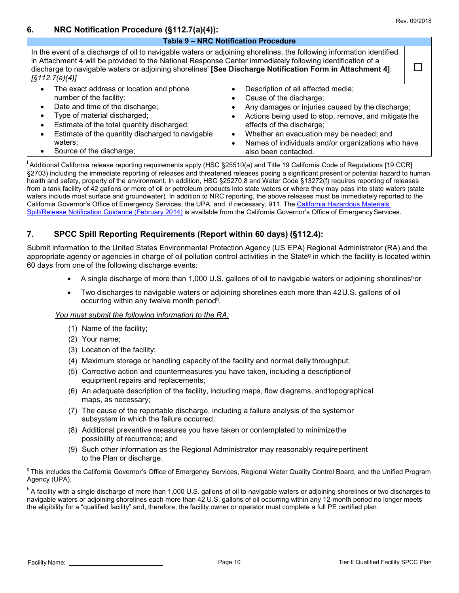|  |  | Rev. 09/2018 |
|--|--|--------------|
|--|--|--------------|

### **6. NRC Notification Procedure (§112.7(a)(4)):**

|                                                                                                                                                                                                                                                                                                                                                                                      | <b>Table 9 - NRC Notification Procedure</b>                                                                                                                                                                                                                                                                                                   |  |
|--------------------------------------------------------------------------------------------------------------------------------------------------------------------------------------------------------------------------------------------------------------------------------------------------------------------------------------------------------------------------------------|-----------------------------------------------------------------------------------------------------------------------------------------------------------------------------------------------------------------------------------------------------------------------------------------------------------------------------------------------|--|
| In the event of a discharge of oil to navigable waters or adjoining shorelines, the following information identified<br>in Attachment 4 will be provided to the National Response Center immediately following identification of a<br>discharge to navigable waters or adjoining shorelines <sup>f</sup> [See Discharge Notification Form in Attachment 4]:<br>$\sqrt{3112.7(a)(4)}$ |                                                                                                                                                                                                                                                                                                                                               |  |
| The exact address or location and phone<br>$\bullet$<br>number of the facility;<br>Date and time of the discharge;<br>Type of material discharged;<br>Estimate of the total quantity discharged;<br>Estimate of the quantity discharged to navigable<br>waters;<br>Source of the discharge;                                                                                          | Description of all affected media;<br>Cause of the discharge;<br>Any damages or injuries caused by the discharge;<br>Actions being used to stop, remove, and mitigate the<br>effects of the discharge;<br>Whether an evacuation may be needed; and<br>$\bullet$<br>Names of individuals and/or organizations who have<br>also been contacted. |  |

f Additional California release reporting requirements apply (HSC §25510(a) and Title 19 California Code of Regulations [19 CCR] §2703) including the immediate reporting of releases and threatened releases posing a significant present or potential hazard to human health and safety, property of the environment. In addition, HSC §25270.8 and Water Code §13272(f) requires reporting of releases from a tank facility of 42 gallons or more of oil or petroleum products into state waters or where they may pass into state waters (state waters include most surface and groundwater). In addition to NRC reporting, the above releases must be immediately re[ported to the](http://www.caloes.ca.gov/FireRescueSite/Documents/CalOES-Spill_Booklet_Feb2014_FINAL_BW_Acc.pdf) California Governor's Office of Emergency Services, the UPA, and, if necessary, 911. The [California Hazardous Materials](http://www.caloes.ca.gov/FireRescueSite/Documents/CalOES-Spill_Booklet_Feb2014_FINAL_BW_Acc.pdf) Spill/Release [Notification Guidance \(February 2014\)](http://www.caloes.ca.gov/FireRescueSite/Documents/CalOES-Spill_Booklet_Feb2014_FINAL_BW_Acc.pdf) is available from the California Governor's Office of Emergency Services.

### **7. SPCC Spill Reporting Requirements (Report within 60 days) (§112.4):**

Submit information to the United States Environmental Protection Agency (US EPA) Regional Administrator (RA) and the appropriate agency or agencies in charge of oil pollution control activities in the Stateg in which the facility is located within 60 days from one of the following discharge events:

- A single discharge of more than 1,000 U.S. gallons of oil to navigable waters or adjoining shorelinesh or
- Two discharges to navigable waters or adjoining shorelines each more than 42U.S. gallons of oil occurring within any twelve month periodh.

#### *You must submit the following information to the RA:*

- (1) Name of the facility;
- (2) Your name;
- (3) Location of the facility;
- (4) Maximum storage or handling capacity of the facility and normal daily throughput;
- (5) Corrective action and countermeasures you have taken, including a descriptionof equipment repairs and replacements;
- (6) An adequate description of the facility, including maps, flow diagrams, andtopographical maps, as necessary;
- (7) The cause of the reportable discharge, including a failure analysis of the systemor subsystem in which the failure occurred;
- (8) Additional preventive measures you have taken or contemplated to minimizethe possibility of recurrence; and
- (9) Such other information as the Regional Administrator may reasonably requirepertinent to the Plan or discharge.

<sup>g</sup> This includes the California Governor's Office of Emergency Services, Regional Water Quality Control Board, and the Unified Program Agency (UPA).

h A facility with a single discharge of more than 1,000 U.S. gallons of oil to navigable waters or adjoining shorelines or two discharges to navigable waters or adjoining shorelines each more than 42 U.S. gallons of oil occurring within any 12-month period no longer meets the eligibility for a "qualified facility" and, therefore, the facility owner or operator must complete a full PE certified plan.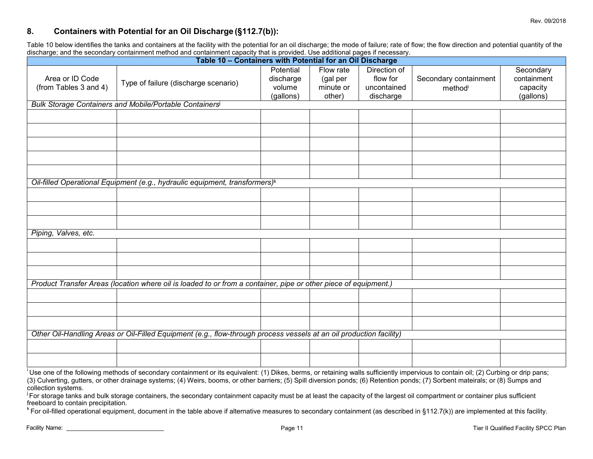### **8. Containers with Potential for an Oil Discharge (§112.7(b)):**

Table 10 below identifies the tanks and containers at the facility with the potential for an oil discharge; the mode of failure; rate of flow; the flow direction and potential quantity of the discharge; and the secondary containment method and containment capacity that is provided. Use additional pages if necessary.

| aloonargo, and the occorradity containment mothed and containment expactly that is provided. Occ daditional pages in necessary.<br>Table 10 - Containers with Potential for an Oil Discharge |                                                                                                                     |                                  |                                    |                                         |                                  |                                      |
|----------------------------------------------------------------------------------------------------------------------------------------------------------------------------------------------|---------------------------------------------------------------------------------------------------------------------|----------------------------------|------------------------------------|-----------------------------------------|----------------------------------|--------------------------------------|
| Area or ID Code<br>(from Tables 3 and 4)                                                                                                                                                     | Type of failure (discharge scenario)                                                                                | Potential<br>discharge<br>volume | Flow rate<br>(gal per<br>minute or | Direction of<br>flow for<br>uncontained | Secondary containment<br>methodi | Secondary<br>containment<br>capacity |
|                                                                                                                                                                                              |                                                                                                                     | (gallons)                        | other)                             | discharge                               |                                  | (gallons)                            |
|                                                                                                                                                                                              | <b>Bulk Storage Containers and Mobile/Portable Containers</b>                                                       |                                  |                                    |                                         |                                  |                                      |
|                                                                                                                                                                                              |                                                                                                                     |                                  |                                    |                                         |                                  |                                      |
|                                                                                                                                                                                              |                                                                                                                     |                                  |                                    |                                         |                                  |                                      |
|                                                                                                                                                                                              |                                                                                                                     |                                  |                                    |                                         |                                  |                                      |
|                                                                                                                                                                                              |                                                                                                                     |                                  |                                    |                                         |                                  |                                      |
|                                                                                                                                                                                              |                                                                                                                     |                                  |                                    |                                         |                                  |                                      |
|                                                                                                                                                                                              | Oil-filled Operational Equipment (e.g., hydraulic equipment, transformers) <sup>k</sup>                             |                                  |                                    |                                         |                                  |                                      |
|                                                                                                                                                                                              |                                                                                                                     |                                  |                                    |                                         |                                  |                                      |
|                                                                                                                                                                                              |                                                                                                                     |                                  |                                    |                                         |                                  |                                      |
|                                                                                                                                                                                              |                                                                                                                     |                                  |                                    |                                         |                                  |                                      |
| Piping, Valves, etc.                                                                                                                                                                         |                                                                                                                     |                                  |                                    |                                         |                                  |                                      |
|                                                                                                                                                                                              |                                                                                                                     |                                  |                                    |                                         |                                  |                                      |
|                                                                                                                                                                                              |                                                                                                                     |                                  |                                    |                                         |                                  |                                      |
|                                                                                                                                                                                              |                                                                                                                     |                                  |                                    |                                         |                                  |                                      |
|                                                                                                                                                                                              | Product Transfer Areas (location where oil is loaded to or from a container, pipe or other piece of equipment.)     |                                  |                                    |                                         |                                  |                                      |
|                                                                                                                                                                                              |                                                                                                                     |                                  |                                    |                                         |                                  |                                      |
|                                                                                                                                                                                              |                                                                                                                     |                                  |                                    |                                         |                                  |                                      |
|                                                                                                                                                                                              |                                                                                                                     |                                  |                                    |                                         |                                  |                                      |
|                                                                                                                                                                                              | Other Oil-Handling Areas or Oil-Filled Equipment (e.g., flow-through process vessels at an oil production facility) |                                  |                                    |                                         |                                  |                                      |
|                                                                                                                                                                                              |                                                                                                                     |                                  |                                    |                                         |                                  |                                      |
|                                                                                                                                                                                              |                                                                                                                     |                                  |                                    |                                         |                                  |                                      |

<sup>i</sup> Use one of the following methods of secondary containment or its equivalent: (1) Dikes, berms, or retaining walls sufficiently impervious to contain oil; (2) Curbing or drip pans; (3) Culverting, gutters, or other drainage systems; (4) Weirs, booms, or other barriers; (5) Spill diversion ponds; (6) Retention ponds; (7) Sorbent mateirals; or (8) Sumps and collection systems.

 $\mu$  For storage tanks and bulk storage containers, the secondary containment capacity must be at least the capacity of the largest oil compartment or container plus sufficient freeboard to contain precipitation.

 $k$  For oil-filled operational equipment, document in the table above if alternative measures to secondary containment (as described in §112.7(k)) are implemented at this facility.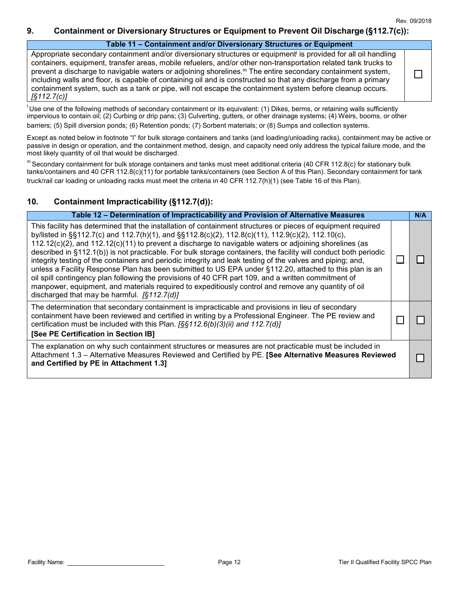П

#### **9. Containment or Diversionary Structures or Equipment to Prevent Oil Discharge (§112.7(c)):**

#### **Table 11 – Containment and/or Diversionary Structures or Equipment**

Appropriate secondary containment and/or diversionary structures or equipment<sup>i</sup> is provided for all oil handling containers, equipment, transfer areas, mobile refuelers, and/or other non-transportation related tank trucks to prevent a discharge to navigable waters or adjoining shorelines.<sup>m</sup> The entire secondary containment system, including walls and floor, is capable of containing oil and is constructed so that any discharge from a primary containment system, such as a tank or pipe, will not escape the containment system before cleanup occurs. *[§112.7(c)]*

 $^{\text{l}}$ Use one of the following methods of secondary containment or its equivalent: (1) Dikes, berms, or retaining walls sufficiently impervious to contain oil; (2) Curbing or drip pans; (3) Culverting, gutters, or other drainage systems; (4) Weirs, booms, or other barriers; (5) Spill diversion ponds; (6) Retention ponds; (7) Sorbent materials; or (8) Sumps and collection systems.

Except as noted below in footnote "l" for bulk storage containers and tanks (and loading/unloading racks), containment may be active or passive in design or operation, and the containment method, design, and capacity need only address the typical failure mode, and the most likely quantity of oil that would be discharged.

 $m$  Secondary containment for bulk storage containers and tanks must meet additional criteria (40 CFR 112.8(c) for stationary bulk tanks/containers and 40 CFR 112.8(c)(11) for portable tanks/containers (see Section A of this Plan). Secondary containment for tank truck/rail car loading or unloading racks must meet the criteria in 40 CFR 112.7(h)(1) (see Table 16 of this Plan).

### **10. Containment Impracticability (§112.7(d)):**

| Table 12 - Determination of Impracticability and Provision of Alternative Measures                                                                                                                                                                                                                                                                                                                                                                                                                                                                                                                                                                                                                                                                                                                                                                                                                                                           |  | N/A |
|----------------------------------------------------------------------------------------------------------------------------------------------------------------------------------------------------------------------------------------------------------------------------------------------------------------------------------------------------------------------------------------------------------------------------------------------------------------------------------------------------------------------------------------------------------------------------------------------------------------------------------------------------------------------------------------------------------------------------------------------------------------------------------------------------------------------------------------------------------------------------------------------------------------------------------------------|--|-----|
| This facility has determined that the installation of containment structures or pieces of equipment required<br>by/listed in §§112.7(c) and 112.7(h)(1), and §§112.8(c)(2), 112.8(c)(11), 112.9(c)(2), 112.10(c),<br>$112.12(c)(2)$ , and $112.12(c)(11)$ to prevent a discharge to navigable waters or adjoining shorelines (as<br>described in §112.1(b)) is not practicable. For bulk storage containers, the facility will conduct both periodic<br>integrity testing of the containers and periodic integrity and leak testing of the valves and piping; and,<br>unless a Facility Response Plan has been submitted to US EPA under §112.20, attached to this plan is an<br>oil spill contingency plan following the provisions of 40 CFR part 109, and a written commitment of<br>manpower, equipment, and materials required to expeditiously control and remove any quantity of oil<br>discharged that may be harmful. $[$112.7(d)]$ |  |     |
| The determination that secondary containment is impracticable and provisions in lieu of secondary<br>containment have been reviewed and certified in writing by a Professional Engineer. The PE review and<br>certification must be included with this Plan. [§§112.6(b)(3)(ii) and 112.7(d)]<br>[See PE Certification in Section IB]                                                                                                                                                                                                                                                                                                                                                                                                                                                                                                                                                                                                        |  |     |
| The explanation on why such containment structures or measures are not practicable must be included in<br>Attachment 1.3 - Alternative Measures Reviewed and Certified by PE. [See Alternative Measures Reviewed<br>and Certified by PE in Attachment 1.3]                                                                                                                                                                                                                                                                                                                                                                                                                                                                                                                                                                                                                                                                                   |  |     |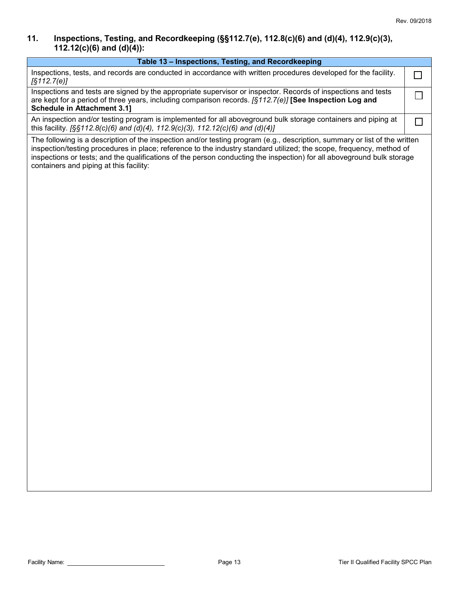### **11. Inspections, Testing, and Recordkeeping (§§112.7(e), 112.8(c)(6) and (d)(4), 112.9(c)(3), 112.12(c)(6) and (d)(4)):**

| Table 13 - Inspections, Testing, and Recordkeeping                                                                                                                                                                                                                                                                                                                                                                      |   |
|-------------------------------------------------------------------------------------------------------------------------------------------------------------------------------------------------------------------------------------------------------------------------------------------------------------------------------------------------------------------------------------------------------------------------|---|
| Inspections, tests, and records are conducted in accordance with written procedures developed for the facility.<br>[§112.7(e)]                                                                                                                                                                                                                                                                                          | П |
| Inspections and tests are signed by the appropriate supervisor or inspector. Records of inspections and tests<br>are kept for a period of three years, including comparison records. [§112.7(e)] <b>[See Inspection Log and</b><br><b>Schedule in Attachment 3.1]</b>                                                                                                                                                   |   |
| An inspection and/or testing program is implemented for all aboveground bulk storage containers and piping at<br>this facility. [§§112.8(c)(6) and (d)(4), 112.9(c)(3), 112.12(c)(6) and (d)(4)]                                                                                                                                                                                                                        |   |
| The following is a description of the inspection and/or testing program (e.g., description, summary or list of the written<br>inspection/testing procedures in place; reference to the industry standard utilized; the scope, frequency, method of<br>inspections or tests; and the qualifications of the person conducting the inspection) for all aboveground bulk storage<br>containers and piping at this facility: |   |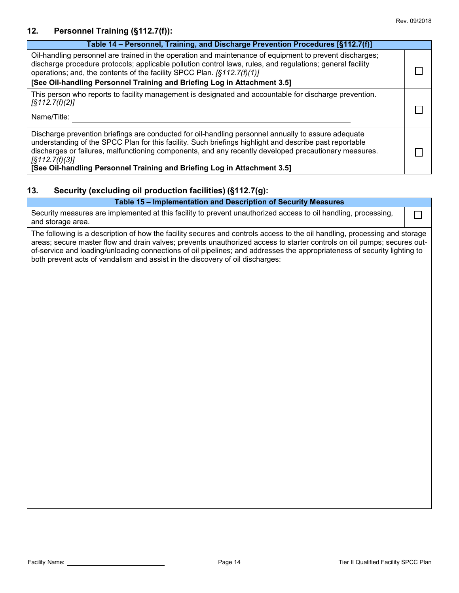### **12. Personnel Training (§112.7(f)):**

| Table 14 - Personnel, Training, and Discharge Prevention Procedures [§112.7(f)]                                                                                                                                                                                                                                                                                                                                              |  |
|------------------------------------------------------------------------------------------------------------------------------------------------------------------------------------------------------------------------------------------------------------------------------------------------------------------------------------------------------------------------------------------------------------------------------|--|
| Oil-handling personnel are trained in the operation and maintenance of equipment to prevent discharges;<br>discharge procedure protocols; applicable pollution control laws, rules, and regulations; general facility<br>operations; and, the contents of the facility SPCC Plan. [§112.7(f)(1)]<br>[See Oil-handling Personnel Training and Briefing Log in Attachment 3.5]                                                 |  |
| This person who reports to facility management is designated and accountable for discharge prevention.<br>$\sqrt{5112.7(f)(2)}$<br>Name/Title:                                                                                                                                                                                                                                                                               |  |
| Discharge prevention briefings are conducted for oil-handling personnel annually to assure adequate<br>understanding of the SPCC Plan for this facility. Such briefings highlight and describe past reportable<br>discharges or failures, malfunctioning components, and any recently developed precautionary measures.<br>$\sqrt{5112.7(f)(3)}$<br>[See Oil-handling Personnel Training and Briefing Log in Attachment 3.5] |  |

## **13. Security (excluding oil production facilities) (§112.7(g):**

| Table 15 - Implementation and Description of Security Measures                                                                      |  |
|-------------------------------------------------------------------------------------------------------------------------------------|--|
| Security measures are implemented at this facility to prevent unauthorized access to oil handling, processing,<br>and storage area. |  |

The following is a description of how the facility secures and controls access to the oil handling, processing and storage areas; secure master flow and drain valves; prevents unauthorized access to starter controls on oil pumps; secures outof-service and loading/unloading connections of oil pipelines; and addresses the appropriateness of security lighting to both prevent acts of vandalism and assist in the discovery of oil discharges: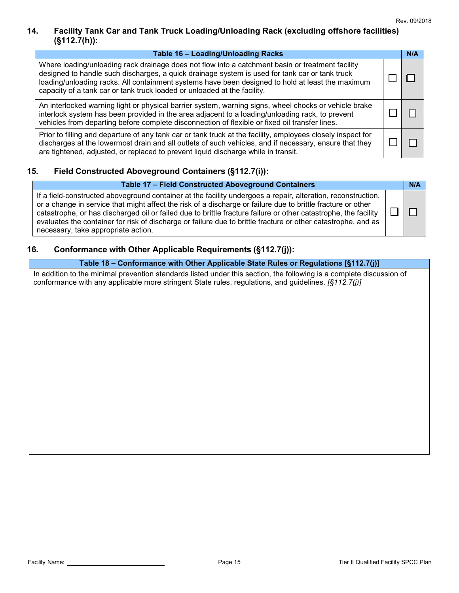## **14. Facility Tank Car and Tank Truck Loading/Unloading Rack (excluding offshore facilities) (§112.7(h)):**

| Table 16 - Loading/Unloading Racks                                                                                                                                                                                                                                                                                                                                                 | N/A |
|------------------------------------------------------------------------------------------------------------------------------------------------------------------------------------------------------------------------------------------------------------------------------------------------------------------------------------------------------------------------------------|-----|
| Where loading/unloading rack drainage does not flow into a catchment basin or treatment facility<br>designed to handle such discharges, a quick drainage system is used for tank car or tank truck<br>loading/unloading racks. All containment systems have been designed to hold at least the maximum<br>capacity of a tank car or tank truck loaded or unloaded at the facility. |     |
| An interlocked warning light or physical barrier system, warning signs, wheel chocks or vehicle brake<br>interlock system has been provided in the area adjacent to a loading/unloading rack, to prevent<br>vehicles from departing before complete disconnection of flexible or fixed oil transfer lines.                                                                         |     |
| Prior to filling and departure of any tank car or tank truck at the facility, employees closely inspect for<br>discharges at the lowermost drain and all outlets of such vehicles, and if necessary, ensure that they<br>are tightened, adjusted, or replaced to prevent liquid discharge while in transit.                                                                        |     |

## **15. Field Constructed Aboveground Containers (§112.7(i)):**

| <b>Table 17 - Field Constructed Aboveground Containers</b>                                                                                                                                                                                                                                                                                                                                                                                                                                              | N/A |
|---------------------------------------------------------------------------------------------------------------------------------------------------------------------------------------------------------------------------------------------------------------------------------------------------------------------------------------------------------------------------------------------------------------------------------------------------------------------------------------------------------|-----|
| If a field-constructed aboveground container at the facility undergoes a repair, alteration, reconstruction,<br>or a change in service that might affect the risk of a discharge or failure due to brittle fracture or other<br>catastrophe, or has discharged oil or failed due to brittle fracture failure or other catastrophe, the facility<br>evaluates the container for risk of discharge or failure due to brittle fracture or other catastrophe, and as<br>necessary, take appropriate action. |     |

### **16. Conformance with Other Applicable Requirements (§112.7(j)):**

#### **Table 18 – Conformance with Other Applicable State Rules or Regulations [§112.7(j)]**

In addition to the minimal prevention standards listed under this section, the following is a complete discussion of conformance with any applicable more stringent State rules, regulations, and guidelines. *[§112.7(j)]*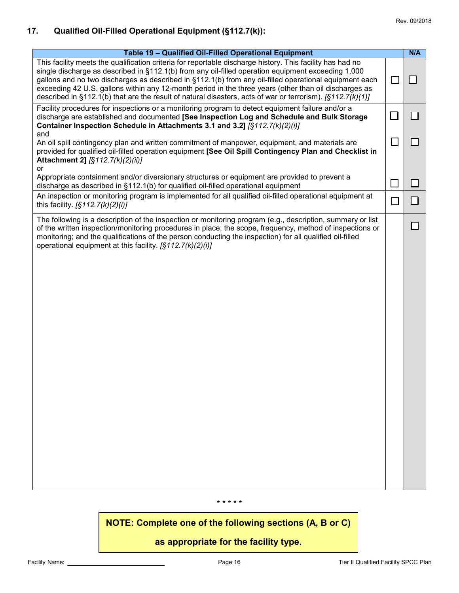## **17. Qualified Oil-Filled Operational Equipment (§112.7(k)):**

| Table 19 - Qualified Oil-Filled Operational Equipment                                                                                                                                                                                                                                                                                                                                                                                                                                                                                              |        | N/A |
|----------------------------------------------------------------------------------------------------------------------------------------------------------------------------------------------------------------------------------------------------------------------------------------------------------------------------------------------------------------------------------------------------------------------------------------------------------------------------------------------------------------------------------------------------|--------|-----|
| This facility meets the qualification criteria for reportable discharge history. This facility has had no<br>single discharge as described in §112.1(b) from any oil-filled operation equipment exceeding 1,000<br>gallons and no two discharges as described in §112.1(b) from any oil-filled operational equipment each<br>exceeding 42 U.S. gallons within any 12-month period in the three years (other than oil discharges as<br>described in §112.1(b) that are the result of natural disasters, acts of war or terrorism). $[§112.7(k)(1)]$ | $\Box$ |     |
| Facility procedures for inspections or a monitoring program to detect equipment failure and/or a<br>discharge are established and documented [See Inspection Log and Schedule and Bulk Storage<br>Container Inspection Schedule in Attachments 3.1 and 3.2] [§112.7(k)(2)(i)]                                                                                                                                                                                                                                                                      |        |     |
| and<br>An oil spill contingency plan and written commitment of manpower, equipment, and materials are<br>provided for qualified oil-filled operation equipment [See Oil Spill Contingency Plan and Checklist in<br>Attachment 2] [§112.7(k)(2)(ii)]<br>or                                                                                                                                                                                                                                                                                          | П      |     |
| Appropriate containment and/or diversionary structures or equipment are provided to prevent a<br>discharge as described in §112.1(b) for qualified oil-filled operational equipment                                                                                                                                                                                                                                                                                                                                                                |        |     |
| An inspection or monitoring program is implemented for all qualified oil-filled operational equipment at<br>this facility. $[§112.7(k)(2)(i)]$                                                                                                                                                                                                                                                                                                                                                                                                     |        |     |
| The following is a description of the inspection or monitoring program (e.g., description, summary or list<br>of the written inspection/monitoring procedures in place; the scope, frequency, method of inspections or<br>monitoring; and the qualifications of the person conducting the inspection) for all qualified oil-filled<br>operational equipment at this facility. [§112.7(k)(2)(i)]                                                                                                                                                    |        |     |

#### \* \* \* \* \*

**NOTE: Complete one of the following sections (A, B or C)**

## **as appropriate for the facility type.**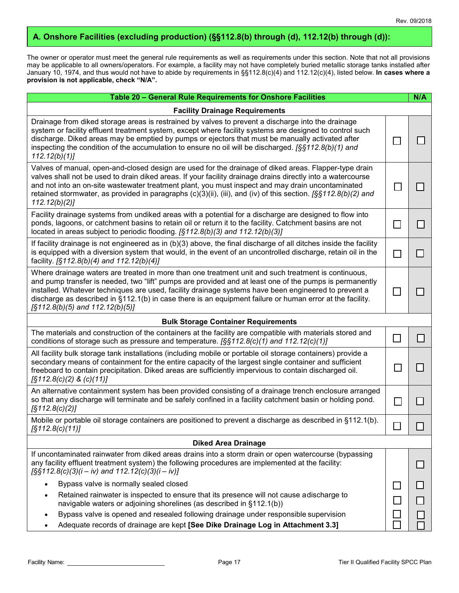## **A. Onshore Facilities (excluding production) (§§112.8(b) through (d), 112.12(b) through (d)):**

The owner or operator must meet the general rule requirements as well as requirements under this section. Note that not all provisions may be applicable to all owners/operators. For example, a facility may not have completely buried metallic storage tanks installed after January 10, 1974, and thus would not have to abide by requirements in §§112.8(c)(4) and 112.12(c)(4), listed below. **In cases where a provision is not applicable, check "N/A".**

| Table 20 - General Rule Requirements for Onshore Facilities                                                                                                                                                                                                                                                                                                                                                                                                                     |                | N/A |  |
|---------------------------------------------------------------------------------------------------------------------------------------------------------------------------------------------------------------------------------------------------------------------------------------------------------------------------------------------------------------------------------------------------------------------------------------------------------------------------------|----------------|-----|--|
| <b>Facility Drainage Requirements</b>                                                                                                                                                                                                                                                                                                                                                                                                                                           |                |     |  |
| Drainage from diked storage areas is restrained by valves to prevent a discharge into the drainage<br>system or facility effluent treatment system, except where facility systems are designed to control such<br>discharge. Diked areas may be emptied by pumps or ejectors that must be manually activated after<br>inspecting the condition of the accumulation to ensure no oil will be discharged. $[§§112.8(b)(1)$ and<br>112.12(b)(1)                                    | $\sim$         |     |  |
| Valves of manual, open-and-closed design are used for the drainage of diked areas. Flapper-type drain<br>valves shall not be used to drain diked areas. If your facility drainage drains directly into a watercourse<br>and not into an on-site wastewater treatment plant, you must inspect and may drain uncontaminated<br>retained stormwater, as provided in paragraphs $(c)(3)(ii)$ , (iii), and (iv) of this section. [§§112.8(b)(2) and<br>112.12(b)(2)                  | $\mathbb{R}^n$ |     |  |
| Facility drainage systems from undiked areas with a potential for a discharge are designed to flow into<br>ponds, lagoons, or catchment basins to retain oil or return it to the facility. Catchment basins are not<br>located in areas subject to periodic flooding. [§112.8(b)(3) and 112.12(b)(3)]                                                                                                                                                                           | $\mathcal{L}$  |     |  |
| If facility drainage is not engineered as in $(b)(3)$ above, the final discharge of all ditches inside the facility<br>is equipped with a diversion system that would, in the event of an uncontrolled discharge, retain oil in the<br>facility. [§112.8(b)(4) and 112.12(b)(4)]                                                                                                                                                                                                | П              |     |  |
| Where drainage waters are treated in more than one treatment unit and such treatment is continuous,<br>and pump transfer is needed, two "lift" pumps are provided and at least one of the pumps is permanently<br>installed. Whatever techniques are used, facility drainage systems have been engineered to prevent a<br>discharge as described in §112.1(b) in case there is an equipment failure or human error at the facility.<br>$\sqrt{S}112.8(b)(5)$ and $112.12(b)(5)$ |                |     |  |
| <b>Bulk Storage Container Requirements</b>                                                                                                                                                                                                                                                                                                                                                                                                                                      |                |     |  |
| The materials and construction of the containers at the facility are compatible with materials stored and<br>conditions of storage such as pressure and temperature. $[§§112.8(c)(1)$ and $112.12(c)(1)]$                                                                                                                                                                                                                                                                       | $\sim$         |     |  |
| All facility bulk storage tank installations (including mobile or portable oil storage containers) provide a<br>secondary means of containment for the entire capacity of the largest single container and sufficient<br>freeboard to contain precipitation. Diked areas are sufficiently impervious to contain discharged oil.<br>$\sqrt{5112.8(c)(2)}$ & $(c)(11)$                                                                                                            | $\mathbb{R}^2$ |     |  |
| An alternative containment system has been provided consisting of a drainage trench enclosure arranged<br>so that any discharge will terminate and be safely confined in a facility catchment basin or holding pond.<br>$\sqrt{S}112.8(c)(2)$                                                                                                                                                                                                                                   | $\Box$         |     |  |
| Mobile or portable oil storage containers are positioned to prevent a discharge as described in §112.1(b).<br>[\$112.8(c)(11)]                                                                                                                                                                                                                                                                                                                                                  | П              |     |  |
| <b>Diked Area Drainage</b>                                                                                                                                                                                                                                                                                                                                                                                                                                                      |                |     |  |
| If uncontaminated rainwater from diked areas drains into a storm drain or open watercourse (bypassing<br>any facility effluent treatment system) the following procedures are implemented at the facility:<br>$[$ §§112.8(c)(3)(i – iv) and 112.12(c)(3)(i – iv)]                                                                                                                                                                                                               |                |     |  |
| Bypass valve is normally sealed closed<br>$\bullet$                                                                                                                                                                                                                                                                                                                                                                                                                             |                |     |  |
| Retained rainwater is inspected to ensure that its presence will not cause adischarge to<br>$\bullet$<br>navigable waters or adjoining shorelines (as described in §112.1(b))                                                                                                                                                                                                                                                                                                   |                |     |  |
| Bypass valve is opened and resealed following drainage under responsible supervision<br>$\bullet$<br>Adequate records of drainage are kept [See Dike Drainage Log in Attachment 3.3]                                                                                                                                                                                                                                                                                            |                |     |  |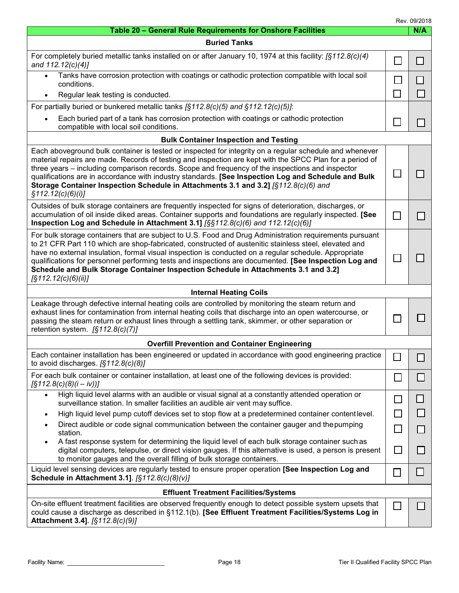Rev. 09/2018

| Table 20 - General Rule Requirements for Onshore Facilities                                                                                                                                                                                                                                                                                                                                                                                                                                                                                             |                             | <b>Rev. 09/2018</b><br>N/A |  |
|---------------------------------------------------------------------------------------------------------------------------------------------------------------------------------------------------------------------------------------------------------------------------------------------------------------------------------------------------------------------------------------------------------------------------------------------------------------------------------------------------------------------------------------------------------|-----------------------------|----------------------------|--|
| <b>Buried Tanks</b>                                                                                                                                                                                                                                                                                                                                                                                                                                                                                                                                     |                             |                            |  |
| For completely buried metallic tanks installed on or after January 10, 1974 at this facility: $\sqrt{3112.8(c)/4}$<br>and 112.12(c)(4)]                                                                                                                                                                                                                                                                                                                                                                                                                 | $\Box$                      | П                          |  |
| Tanks have corrosion protection with coatings or cathodic protection compatible with local soil<br>$\bullet$<br>conditions.                                                                                                                                                                                                                                                                                                                                                                                                                             | $\mathbf{I}$                |                            |  |
| Regular leak testing is conducted.<br>$\bullet$                                                                                                                                                                                                                                                                                                                                                                                                                                                                                                         | $\Box$                      | $\mathsf{L}$               |  |
| For partially buried or bunkered metallic tanks $\sqrt{(5112.8(c)(5))}$ and $\sqrt{(12.12(c)(5))}$ :                                                                                                                                                                                                                                                                                                                                                                                                                                                    |                             |                            |  |
| Each buried part of a tank has corrosion protection with coatings or cathodic protection<br>compatible with local soil conditions.                                                                                                                                                                                                                                                                                                                                                                                                                      | $\mathbf{L}$                |                            |  |
| <b>Bulk Container Inspection and Testing</b>                                                                                                                                                                                                                                                                                                                                                                                                                                                                                                            |                             |                            |  |
| Each aboveground bulk container is tested or inspected for integrity on a regular schedule and whenever<br>material repairs are made. Records of testing and inspection are kept with the SPCC Plan for a period of<br>three years – including comparison records. Scope and frequency of the inspections and inspector<br>qualifications are in accordance with industry standards. [See Inspection Log and Schedule and Bulk<br>Storage Container Inspection Schedule in Attachments 3.1 and 3.2] [§112.8(c)(6) and<br>\$112.12(c)(6)(i)]             | $\overline{\phantom{a}}$    |                            |  |
| Outsides of bulk storage containers are frequently inspected for signs of deterioration, discharges, or<br>accumulation of oil inside diked areas. Container supports and foundations are regularly inspected. [See<br>Inspection Log and Schedule in Attachment 3.1] [§§112.8(c)(6) and 112.12(c)(6)]                                                                                                                                                                                                                                                  |                             |                            |  |
| For bulk storage containers that are subject to U.S. Food and Drug Administration requirements pursuant<br>to 21 CFR Part 110 which are shop-fabricated, constructed of austenitic stainless steel, elevated and<br>have no external insulation, formal visual inspection is conducted on a regular schedule. Appropriate<br>qualifications for personnel performing tests and inspections are documented. [See Inspection Log and<br>Schedule and Bulk Storage Container Inspection Schedule in Attachments 3.1 and 3.2]<br>$\sqrt{S}112.12(c)(6)(ii)$ |                             |                            |  |
| <b>Internal Heating Coils</b>                                                                                                                                                                                                                                                                                                                                                                                                                                                                                                                           |                             |                            |  |
| Leakage through defective internal heating coils are controlled by monitoring the steam return and<br>exhaust lines for contamination from internal heating coils that discharge into an open watercourse, or<br>passing the steam return or exhaust lines through a settling tank, skimmer, or other separation or<br>retention system. $[§112.8(c)(7)]$                                                                                                                                                                                               |                             |                            |  |
| <b>Overfill Prevention and Container Engineering</b>                                                                                                                                                                                                                                                                                                                                                                                                                                                                                                    |                             |                            |  |
| Each container installation has been engineered or updated in accordance with good engineering practice<br>to avoid discharges. $[§112.8(c)(8)]$                                                                                                                                                                                                                                                                                                                                                                                                        | $\Box$                      |                            |  |
| For each bulk container or container installation, at least one of the following devices is provided:<br>$\left[\frac{5}{212.8(c)(8)(i - iv)}\right]$                                                                                                                                                                                                                                                                                                                                                                                                   | $\mathcal{L}_{\mathcal{A}}$ |                            |  |
| High liquid level alarms with an audible or visual signal at a constantly attended operation or<br>$\bullet$<br>surveillance station. In smaller facilities an audible air vent may suffice.                                                                                                                                                                                                                                                                                                                                                            | $\mathcal{L}_{\mathcal{A}}$ |                            |  |
| High liquid level pump cutoff devices set to stop flow at a predetermined container content level.                                                                                                                                                                                                                                                                                                                                                                                                                                                      | $\Box$                      |                            |  |
| Direct audible or code signal communication between the container gauger and the pumping<br>station.                                                                                                                                                                                                                                                                                                                                                                                                                                                    |                             |                            |  |
| A fast response system for determining the liquid level of each bulk storage container such as<br>digital computers, telepulse, or direct vision gauges. If this alternative is used, a person is present<br>to monitor gauges and the overall filling of bulk storage containers.                                                                                                                                                                                                                                                                      |                             |                            |  |
| Liquid level sensing devices are regularly tested to ensure proper operation [See Inspection Log and<br>Schedule in Attachment 3.1]. [§112.8(c)(8)(v)]                                                                                                                                                                                                                                                                                                                                                                                                  |                             |                            |  |
| <b>Effluent Treatment Facilities/Systems</b>                                                                                                                                                                                                                                                                                                                                                                                                                                                                                                            |                             |                            |  |
| On-site effluent treatment facilities are observed frequently enough to detect possible system upsets that<br>could cause a discharge as described in §112.1(b). [See Effluent Treatment Facilities/Systems Log in<br>Attachment 3.4]. [§112.8(c)(9)]                                                                                                                                                                                                                                                                                                   |                             |                            |  |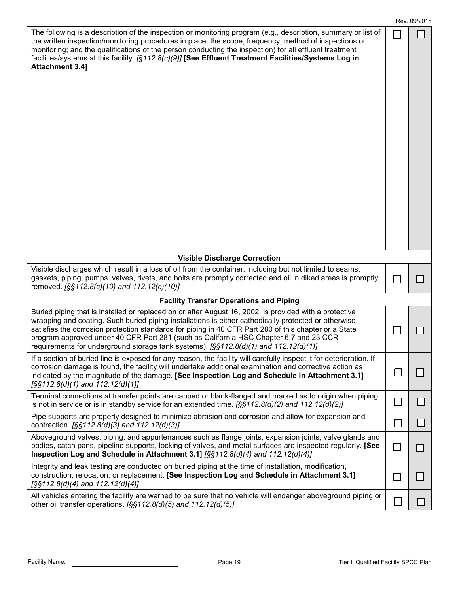|                                                                                                                                                                                                                                                                                                                                                                                                                                                                                                                    |                | Rev. 09/2018 |
|--------------------------------------------------------------------------------------------------------------------------------------------------------------------------------------------------------------------------------------------------------------------------------------------------------------------------------------------------------------------------------------------------------------------------------------------------------------------------------------------------------------------|----------------|--------------|
| The following is a description of the inspection or monitoring program (e.g., description, summary or list of<br>the written inspection/monitoring procedures in place; the scope, frequency, method of inspections or<br>monitoring; and the qualifications of the person conducting the inspection) for all effluent treatment<br>facilities/systems at this facility. [§112.8(c)(9)] [See Effluent Treatment Facilities/Systems Log in<br><b>Attachment 3.4]</b>                                                |                |              |
| <b>Visible Discharge Correction</b>                                                                                                                                                                                                                                                                                                                                                                                                                                                                                |                |              |
| Visible discharges which result in a loss of oil from the container, including but not limited to seams,<br>gaskets, piping, pumps, valves, rivets, and bolts are promptly corrected and oil in diked areas is promptly                                                                                                                                                                                                                                                                                            |                |              |
| removed. [§§112.8(c)(10) and 112.12(c)(10)]                                                                                                                                                                                                                                                                                                                                                                                                                                                                        |                |              |
| <b>Facility Transfer Operations and Piping</b>                                                                                                                                                                                                                                                                                                                                                                                                                                                                     |                |              |
| Buried piping that is installed or replaced on or after August 16, 2002, is provided with a protective<br>wrapping and coating. Such buried piping installations is either cathodically protected or otherwise<br>satisfies the corrosion protection standards for piping in 40 CFR Part 280 of this chapter or a State<br>program approved under 40 CFR Part 281 (such as California HSC Chapter 6.7 and 23 CCR<br>requirements for underground storage tank systems). $[\frac{5}{312.8(d)(1)}$ and 112.12(d)(1)] |                |              |
| If a section of buried line is exposed for any reason, the facility will carefully inspect it for deterioration. If<br>corrosion damage is found, the facility will undertake additional examination and corrective action as<br>indicated by the magnitude of the damage. [See Inspection Log and Schedule in Attachment 3.1]<br>$[$ §§112.8(d)(1) and 112.12(d)(1)]                                                                                                                                              | $\mathbb{R}^n$ |              |
| Terminal connections at transfer points are capped or blank-flanged and marked as to origin when piping<br>is not in service or is in standby service for an extended time. $[\S \S 112.8(d)(2)$ and $112.12(d)(2)]$                                                                                                                                                                                                                                                                                               | $\Box$         | $\mathsf{L}$ |
| Pipe supports are properly designed to minimize abrasion and corrosion and allow for expansion and<br>contraction. [§§112.8(d)(3) and 112.12(d)(3)]                                                                                                                                                                                                                                                                                                                                                                | $\Box$         | $\Box$       |
| Aboveground valves, piping, and appurtenances such as flange joints, expansion joints, valve glands and<br>bodies, catch pans, pipeline supports, locking of valves, and metal surfaces are inspected regularly. [See<br>Inspection Log and Schedule in Attachment 3.1] $[\S \S 112.8(d)(4)$ and 112.12(d)(4)]                                                                                                                                                                                                     | $\Box$         |              |
| Integrity and leak testing are conducted on buried piping at the time of installation, modification,<br>construction, relocation, or replacement. [See Inspection Log and Schedule in Attachment 3.1]<br>$[$ §§112.8(d)(4) and 112.12(d)(4)]                                                                                                                                                                                                                                                                       | $\Box$         |              |
| All vehicles entering the facility are warned to be sure that no vehicle will endanger aboveground piping or<br>other oil transfer operations. $[$ SS $112.8$ (d)(5) and $112.12$ (d)(5)]                                                                                                                                                                                                                                                                                                                          |                |              |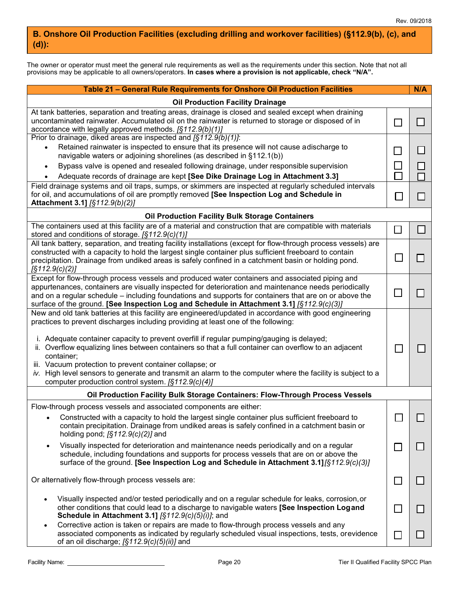## **B. Onshore Oil Production Facilities (excluding drilling and workover facilities) (§112.9(b), (c), and (d)):**

The owner or operator must meet the general rule requirements as well as the requirements under this section. Note that not all provisions may be applicable to all owners/operators. **In cases where a provision is not applicable, check "N/A".**

| Table 21 - General Rule Requirements for Onshore Oil Production Facilities                                                                                                                                                                                                                                                                                                                                                                                                                                                                                                                                                                        |                                               | N/A          |
|---------------------------------------------------------------------------------------------------------------------------------------------------------------------------------------------------------------------------------------------------------------------------------------------------------------------------------------------------------------------------------------------------------------------------------------------------------------------------------------------------------------------------------------------------------------------------------------------------------------------------------------------------|-----------------------------------------------|--------------|
| <b>Oil Production Facility Drainage</b>                                                                                                                                                                                                                                                                                                                                                                                                                                                                                                                                                                                                           |                                               |              |
| At tank batteries, separation and treating areas, drainage is closed and sealed except when draining<br>uncontaminated rainwater. Accumulated oil on the rainwater is returned to storage or disposed of in<br>accordance with legally approved methods. [§112.9(b)(1)]                                                                                                                                                                                                                                                                                                                                                                           | $\Box$                                        |              |
| Prior to drainage, diked areas are inspected and $\sqrt{(5112.9(b)(1))}$ .<br>Retained rainwater is inspected to ensure that its presence will not cause adischarge to<br>$\bullet$<br>navigable waters or adjoining shorelines (as described in §112.1(b))<br>Bypass valve is opened and resealed following drainage, under responsible supervision<br>$\bullet$<br>Adequate records of drainage are kept [See Dike Drainage Log in Attachment 3.3]                                                                                                                                                                                              | $\blacksquare$<br>$\mathcal{L}_{\mathcal{A}}$ | $\mathsf{L}$ |
| Field drainage systems and oil traps, sumps, or skimmers are inspected at regularly scheduled intervals<br>for oil, and accumulations of oil are promptly removed [See Inspection Log and Schedule in<br>Attachment 3.1] [§112.9(b)(2)]                                                                                                                                                                                                                                                                                                                                                                                                           | e.                                            |              |
| <b>Oil Production Facility Bulk Storage Containers</b>                                                                                                                                                                                                                                                                                                                                                                                                                                                                                                                                                                                            |                                               |              |
| The containers used at this facility are of a material and construction that are compatible with materials<br>stored and conditions of storage. [§112.9(c)(1)]                                                                                                                                                                                                                                                                                                                                                                                                                                                                                    | $\mathbb{R}^n$                                |              |
| All tank battery, separation, and treating facility installations (except for flow-through process vessels) are<br>constructed with a capacity to hold the largest single container plus sufficient freeboard to contain<br>precipitation. Drainage from undiked areas is safely confined in a catchment basin or holding pond.<br>$\left[\S 112.9(c)(2)\right]$                                                                                                                                                                                                                                                                                  |                                               |              |
| Except for flow-through process vessels and produced water containers and associated piping and<br>appurtenances, containers are visually inspected for deterioration and maintenance needs periodically<br>and on a regular schedule – including foundations and supports for containers that are on or above the<br>surface of the ground. [See Inspection Log and Schedule in Attachment 3.1] [§112.9(c)(3)]                                                                                                                                                                                                                                   |                                               |              |
| New and old tank batteries at this facility are engineered/updated in accordance with good engineering<br>practices to prevent discharges including providing at least one of the following:<br>i. Adequate container capacity to prevent overfill if regular pumping/gauging is delayed;<br>ii. Overflow equalizing lines between containers so that a full container can overflow to an adjacent<br>container;<br>iii. Vacuum protection to prevent container collapse; or<br>iv. High level sensors to generate and transmit an alarm to the computer where the facility is subject to a<br>computer production control system. [§112.9(c)(4)] | l.                                            |              |
| Oil Production Facility Bulk Storage Containers: Flow-Through Process Vessels                                                                                                                                                                                                                                                                                                                                                                                                                                                                                                                                                                     |                                               |              |
| Flow-through process vessels and associated components are either:<br>Constructed with a capacity to hold the largest single container plus sufficient freeboard to<br>contain precipitation. Drainage from undiked areas is safely confined in a catchment basin or<br>holding pond; $[$112.9(c)(2)]$ and                                                                                                                                                                                                                                                                                                                                        | $\Box$                                        | $\Box$       |
| Visually inspected for deterioration and maintenance needs periodically and on a regular<br>$\bullet$<br>schedule, including foundations and supports for process vessels that are on or above the<br>surface of the ground. [See Inspection Log and Schedule in Attachment 3.1] [§112.9(c)(3)]                                                                                                                                                                                                                                                                                                                                                   | l.                                            |              |
| Or alternatively flow-through process vessels are:                                                                                                                                                                                                                                                                                                                                                                                                                                                                                                                                                                                                | $\Box$                                        |              |
| Visually inspected and/or tested periodically and on a regular schedule for leaks, corrosion, or<br>other conditions that could lead to a discharge to navigable waters [See Inspection Logand<br>Schedule in Attachment 3.1] [§112.9(c)(5)(i)]; and                                                                                                                                                                                                                                                                                                                                                                                              | $\Box$                                        |              |
| Corrective action is taken or repairs are made to flow-through process vessels and any<br>$\bullet$<br>associated components as indicated by regularly scheduled visual inspections, tests, orevidence<br>of an oil discharge; [§112.9(c)(5)(ii)] and                                                                                                                                                                                                                                                                                                                                                                                             |                                               |              |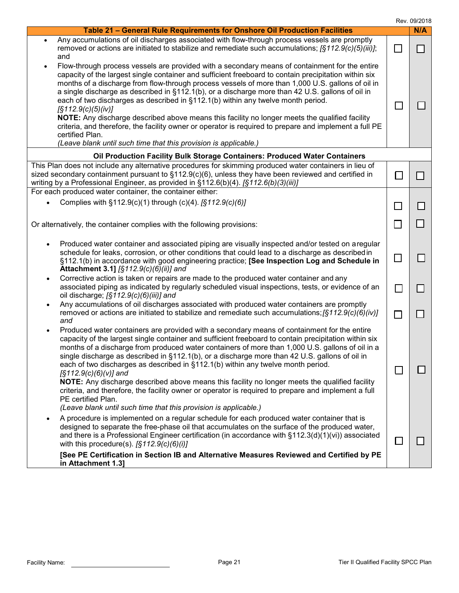|                                                                                                                                                                                                                                                                                                                                                                                                                                                                                                                                                                                                                                                                                                                                                                                                                                      |                             | Rev. 09/2018 |
|--------------------------------------------------------------------------------------------------------------------------------------------------------------------------------------------------------------------------------------------------------------------------------------------------------------------------------------------------------------------------------------------------------------------------------------------------------------------------------------------------------------------------------------------------------------------------------------------------------------------------------------------------------------------------------------------------------------------------------------------------------------------------------------------------------------------------------------|-----------------------------|--------------|
| Table 21 - General Rule Requirements for Onshore Oil Production Facilities                                                                                                                                                                                                                                                                                                                                                                                                                                                                                                                                                                                                                                                                                                                                                           |                             | N/A          |
| Any accumulations of oil discharges associated with flow-through process vessels are promptly<br>$\bullet$<br>removed or actions are initiated to stabilize and remediate such accumulations; $\zeta(512.9(c)(5/iii))$ ;<br>and                                                                                                                                                                                                                                                                                                                                                                                                                                                                                                                                                                                                      | e.                          |              |
| Flow-through process vessels are provided with a secondary means of containment for the entire<br>capacity of the largest single container and sufficient freeboard to contain precipitation within six<br>months of a discharge from flow-through process vessels of more than 1,000 U.S. gallons of oil in<br>a single discharge as described in §112.1(b), or a discharge more than 42 U.S. gallons of oil in<br>each of two discharges as described in §112.1(b) within any twelve month period.<br>$\sqrt{S}112.9(c)(5)(iv)$<br>NOTE: Any discharge described above means this facility no longer meets the qualified facility<br>criteria, and therefore, the facility owner or operator is required to prepare and implement a full PE<br>certified Plan.<br>(Leave blank until such time that this provision is applicable.) |                             |              |
| Oil Production Facility Bulk Storage Containers: Produced Water Containers                                                                                                                                                                                                                                                                                                                                                                                                                                                                                                                                                                                                                                                                                                                                                           |                             |              |
| This Plan does not include any alternative procedures for skimming produced water containers in lieu of<br>sized secondary containment pursuant to $\S112.9(c)(6)$ , unless they have been reviewed and certified in<br>writing by a Professional Engineer, as provided in $\S112.6(b)(4)$ . [ $\S112.6(b)(3)(iii)$ ]                                                                                                                                                                                                                                                                                                                                                                                                                                                                                                                |                             |              |
| For each produced water container, the container either:                                                                                                                                                                                                                                                                                                                                                                                                                                                                                                                                                                                                                                                                                                                                                                             |                             |              |
| Complies with §112.9(c)(1) through (c)(4). [§112.9(c)(6)]                                                                                                                                                                                                                                                                                                                                                                                                                                                                                                                                                                                                                                                                                                                                                                            | $\mathcal{L}_{\mathcal{A}}$ |              |
| Or alternatively, the container complies with the following provisions:                                                                                                                                                                                                                                                                                                                                                                                                                                                                                                                                                                                                                                                                                                                                                              | $\overline{\phantom{0}}$    |              |
| Produced water container and associated piping are visually inspected and/or tested on aregular<br>schedule for leaks, corrosion, or other conditions that could lead to a discharge as described in<br>§112.1(b) in accordance with good engineering practice; [See Inspection Log and Schedule in<br>Attachment 3.1] [§112.9(c)(6)(ii)] and                                                                                                                                                                                                                                                                                                                                                                                                                                                                                        | $\Box$                      |              |
| Corrective action is taken or repairs are made to the produced water container and any<br>$\bullet$<br>associated piping as indicated by regularly scheduled visual inspections, tests, or evidence of an<br>oil discharge; [§112.9(c)(6)(iii)] and                                                                                                                                                                                                                                                                                                                                                                                                                                                                                                                                                                                  | $\Box$                      |              |
| Any accumulations of oil discharges associated with produced water containers are promptly<br>removed or actions are initiated to stabilize and remediate such accumulations; $\S112.9(c)(6)(iv)$<br>and                                                                                                                                                                                                                                                                                                                                                                                                                                                                                                                                                                                                                             | $\mathcal{L}_{\mathcal{A}}$ |              |
| Produced water containers are provided with a secondary means of containment for the entire<br>capacity of the largest single container and sufficient freeboard to contain precipitation within six<br>months of a discharge from produced water containers of more than 1,000 U.S. gallons of oil in a<br>single discharge as described in §112.1(b), or a discharge more than 42 U.S. gallons of oil in<br>each of two discharges as described in §112.1(b) within any twelve month period.<br>$\sqrt{S}112.9(c)(6)(v)$ and<br>NOTE: Any discharge described above means this facility no longer meets the qualified facility<br>criteria, and therefore, the facility owner or operator is required to prepare and implement a full<br>PE certified Plan.<br>(Leave blank until such time that this provision is applicable.)    |                             |              |
| A procedure is implemented on a regular schedule for each produced water container that is<br>designed to separate the free-phase oil that accumulates on the surface of the produced water,<br>and there is a Professional Engineer certification (in accordance with $\S112.3(d)(1)(vi)$ ) associated<br>with this procedure(s). $[§112.9(c)(6)(i)]$<br>[See PE Certification in Section IB and Alternative Measures Reviewed and Certified by PE<br>in Attachment 1.3]                                                                                                                                                                                                                                                                                                                                                            | L.                          |              |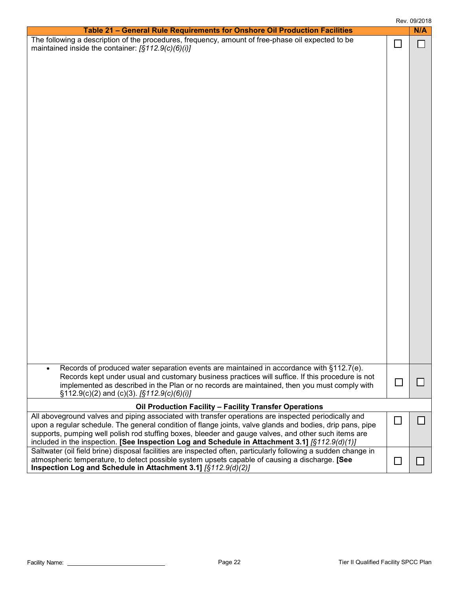|                                                                                                                                                                                                                                                                                                                                                                                                                             |        | Rev. 09/2018 |
|-----------------------------------------------------------------------------------------------------------------------------------------------------------------------------------------------------------------------------------------------------------------------------------------------------------------------------------------------------------------------------------------------------------------------------|--------|--------------|
| Table 21 - General Rule Requirements for Onshore Oil Production Facilities                                                                                                                                                                                                                                                                                                                                                  |        | N/A          |
| The following a description of the procedures, frequency, amount of free-phase oil expected to be<br>maintained inside the container: [§112.9(c)(6)(i)]                                                                                                                                                                                                                                                                     | $\Box$ |              |
| Records of produced water separation events are maintained in accordance with §112.7(e).<br>Records kept under usual and customary business practices will suffice. If this procedure is not<br>implemented as described in the Plan or no records are maintained, then you must comply with<br>$\S112.9(c)(2)$ and (c)(3). $\S112.9(c)(6)(i)$                                                                              |        |              |
| Oil Production Facility - Facility Transfer Operations                                                                                                                                                                                                                                                                                                                                                                      |        |              |
| All aboveground valves and piping associated with transfer operations are inspected periodically and<br>upon a regular schedule. The general condition of flange joints, valve glands and bodies, drip pans, pipe<br>supports, pumping well polish rod stuffing boxes, bleeder and gauge valves, and other such items are<br>included in the inspection. [See Inspection Log and Schedule in Attachment 3.1] [§112.9(d)(1)] |        |              |
| Saltwater (oil field brine) disposal facilities are inspected often, particularly following a sudden change in<br>atmospheric temperature, to detect possible system upsets capable of causing a discharge. [See<br>Inspection Log and Schedule in Attachment 3.1] [§112.9(d)(2)]                                                                                                                                           |        |              |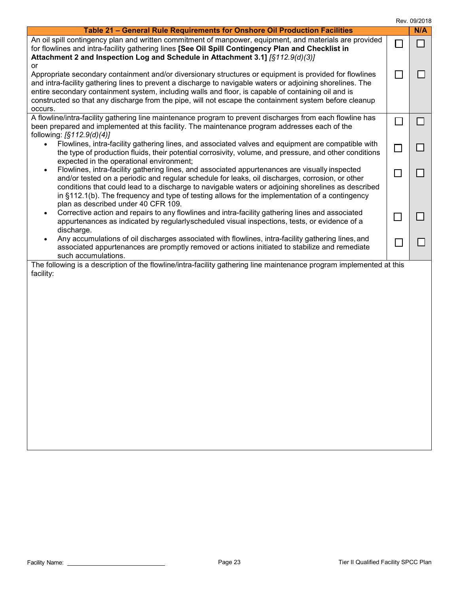|  | Rev. 09/2018 |  |
|--|--------------|--|
|--|--------------|--|

|                                                                                                                                                                                                                                                                                                                                                                                                                                                                   |                             | Rev. 09/2018   |
|-------------------------------------------------------------------------------------------------------------------------------------------------------------------------------------------------------------------------------------------------------------------------------------------------------------------------------------------------------------------------------------------------------------------------------------------------------------------|-----------------------------|----------------|
| Table 21 - General Rule Requirements for Onshore Oil Production Facilities                                                                                                                                                                                                                                                                                                                                                                                        |                             | N/A            |
| An oil spill contingency plan and written commitment of manpower, equipment, and materials are provided<br>for flowlines and intra-facility gathering lines [See Oil Spill Contingency Plan and Checklist in<br>Attachment 2 and Inspection Log and Schedule in Attachment 3.1] [§112.9(d)(3)]<br>or                                                                                                                                                              | $\Box$                      | ┓              |
| Appropriate secondary containment and/or diversionary structures or equipment is provided for flowlines<br>and intra-facility gathering lines to prevent a discharge to navigable waters or adjoining shorelines. The<br>entire secondary containment system, including walls and floor, is capable of containing oil and is<br>constructed so that any discharge from the pipe, will not escape the containment system before cleanup<br>occurs.                 |                             |                |
| A flowline/intra-facility gathering line maintenance program to prevent discharges from each flowline has<br>been prepared and implemented at this facility. The maintenance program addresses each of the<br>following: $[§112.9(d)(4)]$                                                                                                                                                                                                                         | $\overline{\phantom{a}}$    | $\blacksquare$ |
| Flowlines, intra-facility gathering lines, and associated valves and equipment are compatible with<br>$\bullet$<br>the type of production fluids, their potential corrosivity, volume, and pressure, and other conditions<br>expected in the operational environment;                                                                                                                                                                                             | $\Box$                      |                |
| Flowlines, intra-facility gathering lines, and associated appurtenances are visually inspected<br>$\bullet$<br>and/or tested on a periodic and regular schedule for leaks, oil discharges, corrosion, or other<br>conditions that could lead to a discharge to navigable waters or adjoining shorelines as described<br>in $\S$ 112.1(b). The frequency and type of testing allows for the implementation of a contingency<br>plan as described under 40 CFR 109. | $\blacksquare$              |                |
| Corrective action and repairs to any flowlines and intra-facility gathering lines and associated<br>$\bullet$<br>appurtenances as indicated by regularlyscheduled visual inspections, tests, or evidence of a<br>discharge.                                                                                                                                                                                                                                       |                             |                |
| Any accumulations of oil discharges associated with flowlines, intra-facility gathering lines, and<br>$\bullet$<br>associated appurtenances are promptly removed or actions initiated to stabilize and remediate<br>such accumulations.                                                                                                                                                                                                                           | $\mathcal{L}_{\mathcal{A}}$ |                |
| The following is a description of the flowline/intra-facility gathering line maintenance program implemented at this<br>facility:                                                                                                                                                                                                                                                                                                                                 |                             |                |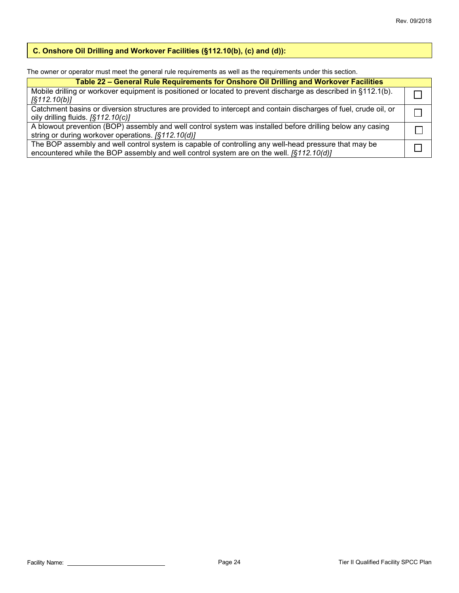## **C. Onshore Oil Drilling and Workover Facilities (§112.10(b), (c) and (d)):**

The owner or operator must meet the general rule requirements as well as the requirements under this section.

| Table 22 - General Rule Requirements for Onshore Oil Drilling and Workover Facilities                                                                                                               |  |  |  |
|-----------------------------------------------------------------------------------------------------------------------------------------------------------------------------------------------------|--|--|--|
| Mobile drilling or workover equipment is positioned or located to prevent discharge as described in §112.1(b).<br>$\sqrt{5112.10(b)}$                                                               |  |  |  |
| Catchment basins or diversion structures are provided to intercept and contain discharges of fuel, crude oil, or<br>oily drilling fluids. $[$112.10(c)]$                                            |  |  |  |
| A blowout prevention (BOP) assembly and well control system was installed before drilling below any casing<br>string or during workover operations. [§112.10(d)]                                    |  |  |  |
| The BOP assembly and well control system is capable of controlling any well-head pressure that may be<br>encountered while the BOP assembly and well control system are on the well. $[$112.10(d)]$ |  |  |  |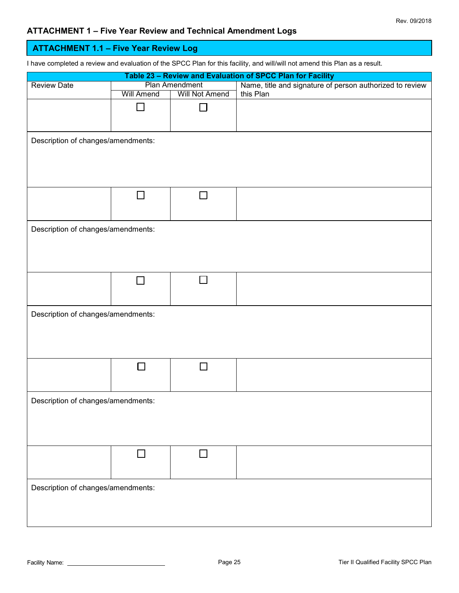## **ATTACHMENT 1 – Five Year Review and Technical Amendment Logs**

| <b>ATTACHMENT 1.1 - Five Year Review Log</b>                                                                                |                   |                       |                                                            |  |
|-----------------------------------------------------------------------------------------------------------------------------|-------------------|-----------------------|------------------------------------------------------------|--|
| I have completed a review and evaluation of the SPCC Plan for this facility, and will/will not amend this Plan as a result. |                   |                       |                                                            |  |
|                                                                                                                             |                   |                       | Table 23 - Review and Evaluation of SPCC Plan for Facility |  |
| <b>Review Date</b>                                                                                                          |                   | <b>Plan Amendment</b> | Name, title and signature of person authorized to review   |  |
|                                                                                                                             | <b>Will Amend</b> | <b>Will Not Amend</b> | this Plan                                                  |  |
|                                                                                                                             |                   |                       |                                                            |  |
|                                                                                                                             |                   |                       |                                                            |  |
|                                                                                                                             |                   |                       |                                                            |  |
|                                                                                                                             |                   |                       |                                                            |  |
| Description of changes/amendments:                                                                                          |                   |                       |                                                            |  |
|                                                                                                                             |                   |                       |                                                            |  |
|                                                                                                                             |                   |                       |                                                            |  |
|                                                                                                                             |                   |                       |                                                            |  |
|                                                                                                                             |                   |                       |                                                            |  |
|                                                                                                                             |                   |                       |                                                            |  |
|                                                                                                                             |                   |                       |                                                            |  |
|                                                                                                                             |                   |                       |                                                            |  |
| Description of changes/amendments:                                                                                          |                   |                       |                                                            |  |
|                                                                                                                             |                   |                       |                                                            |  |
|                                                                                                                             |                   |                       |                                                            |  |
|                                                                                                                             |                   |                       |                                                            |  |
|                                                                                                                             |                   |                       |                                                            |  |
|                                                                                                                             |                   |                       |                                                            |  |
|                                                                                                                             | $\vert \ \ \vert$ | П                     |                                                            |  |
|                                                                                                                             |                   |                       |                                                            |  |
|                                                                                                                             |                   |                       |                                                            |  |
| Description of changes/amendments:                                                                                          |                   |                       |                                                            |  |
|                                                                                                                             |                   |                       |                                                            |  |
|                                                                                                                             |                   |                       |                                                            |  |
|                                                                                                                             |                   |                       |                                                            |  |
|                                                                                                                             |                   |                       |                                                            |  |
|                                                                                                                             |                   |                       |                                                            |  |
|                                                                                                                             |                   |                       |                                                            |  |
|                                                                                                                             |                   |                       |                                                            |  |
|                                                                                                                             |                   |                       |                                                            |  |
| Description of changes/amendments:                                                                                          |                   |                       |                                                            |  |
|                                                                                                                             |                   |                       |                                                            |  |
|                                                                                                                             |                   |                       |                                                            |  |
|                                                                                                                             |                   |                       |                                                            |  |
|                                                                                                                             |                   |                       |                                                            |  |
|                                                                                                                             |                   | $\Box$                |                                                            |  |
|                                                                                                                             |                   |                       |                                                            |  |
|                                                                                                                             |                   |                       |                                                            |  |
| Description of changes/amendments:                                                                                          |                   |                       |                                                            |  |
|                                                                                                                             |                   |                       |                                                            |  |
|                                                                                                                             |                   |                       |                                                            |  |
|                                                                                                                             |                   |                       |                                                            |  |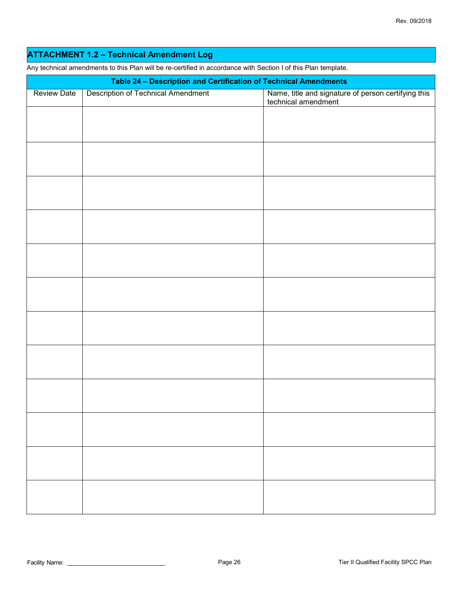## **ATTACHMENT 1.2 – Technical Amendment Log**

Any technical amendments to this Plan will be re-certified in accordance with Section I of this Plan template.

|                    | Table 24 - Description and Certification of Technical Amendments |                                                                            |
|--------------------|------------------------------------------------------------------|----------------------------------------------------------------------------|
| <b>Review Date</b> | <b>Description of Technical Amendment</b>                        | Name, title and signature of person certifying this<br>technical amendment |
|                    |                                                                  |                                                                            |
|                    |                                                                  |                                                                            |
|                    |                                                                  |                                                                            |
|                    |                                                                  |                                                                            |
|                    |                                                                  |                                                                            |
|                    |                                                                  |                                                                            |
|                    |                                                                  |                                                                            |
|                    |                                                                  |                                                                            |
|                    |                                                                  |                                                                            |
|                    |                                                                  |                                                                            |
|                    |                                                                  |                                                                            |
|                    |                                                                  |                                                                            |
|                    |                                                                  |                                                                            |
|                    |                                                                  |                                                                            |
|                    |                                                                  |                                                                            |
|                    |                                                                  |                                                                            |
|                    |                                                                  |                                                                            |
|                    |                                                                  |                                                                            |
|                    |                                                                  |                                                                            |
|                    |                                                                  |                                                                            |
|                    |                                                                  |                                                                            |
|                    |                                                                  |                                                                            |
|                    |                                                                  |                                                                            |
|                    |                                                                  |                                                                            |
|                    |                                                                  |                                                                            |
|                    |                                                                  |                                                                            |
|                    |                                                                  |                                                                            |
|                    |                                                                  |                                                                            |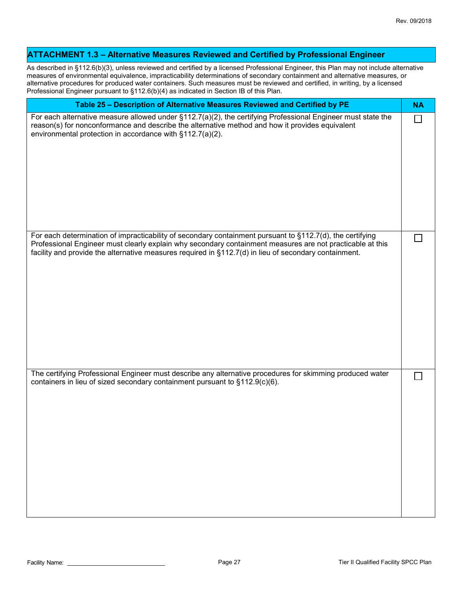| <b>ATTACHMENT 1.3 - Alternative Measures Reviewed and Certified by Professional Engineer</b>                                                                                                                                                                                                                                                                                                                                                                                                       |           |
|----------------------------------------------------------------------------------------------------------------------------------------------------------------------------------------------------------------------------------------------------------------------------------------------------------------------------------------------------------------------------------------------------------------------------------------------------------------------------------------------------|-----------|
| As described in §112.6(b)(3), unless reviewed and certified by a licensed Professional Engineer, this Plan may not include alternative<br>measures of environmental equivalence, impracticability determinations of secondary containment and alternative measures, or<br>alternative procedures for produced water containers. Such measures must be reviewed and certified, in writing, by a licensed<br>Professional Engineer pursuant to §112.6(b)(4) as indicated in Section IB of this Plan. |           |
| Table 25 - Description of Alternative Measures Reviewed and Certified by PE                                                                                                                                                                                                                                                                                                                                                                                                                        | <b>NA</b> |
| For each alternative measure allowed under $\S112.7(a)(2)$ , the certifying Professional Engineer must state the<br>reason(s) for nonconformance and describe the alternative method and how it provides equivalent<br>environmental protection in accordance with §112.7(a)(2).                                                                                                                                                                                                                   | П         |
| For each determination of impracticability of secondary containment pursuant to §112.7(d), the certifying<br>Professional Engineer must clearly explain why secondary containment measures are not practicable at this<br>facility and provide the alternative measures required in $\S112.7(d)$ in lieu of secondary containment.                                                                                                                                                                 |           |
| The certifying Professional Engineer must describe any alternative procedures for skimming produced water<br>containers in lieu of sized secondary containment pursuant to §112.9(c)(6).                                                                                                                                                                                                                                                                                                           |           |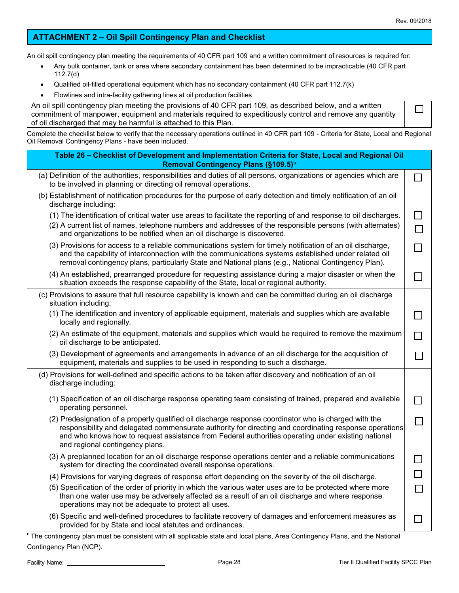$\Box$ 

## **ATTACHMENT 2 – Oil Spill Contingency Plan and Checklist**

An oil spill contingency plan meeting the requirements of 40 CFR part 109 and a written commitment of resources is required for:

- Any bulk container, tank or area where secondary containment has been determined to be impracticable (40 CFR part 112.7(d)
- Qualified oil-filled operational equipment which has no secondary containment (40 CFR part 112.7(k)
- Flowlines and intra-facility gathering lines at oil production facilities

| An oil spill contingency plan meeting the provisions of 40 CFR part 109, as described below, and a written |
|------------------------------------------------------------------------------------------------------------|
| commitment of manpower, equipment and materials required to expeditiously control and remove any quantity  |
| of oil discharged that may be harmful is attached to this Plan.                                            |

Complete the checklist below to verify that the necessary operations outlined in 40 CFR part 109 - Criteria for State, Local and Regional Oil Removal Contingency Plans - have been included.

| Table 26 - Checklist of Development and Implementation Criteria for State, Local and Regional Oil<br>Removal Contingency Plans (§109.5) <sup>n</sup>                                                                                                                                                                                                     |  |
|----------------------------------------------------------------------------------------------------------------------------------------------------------------------------------------------------------------------------------------------------------------------------------------------------------------------------------------------------------|--|
| (a) Definition of the authorities, responsibilities and duties of all persons, organizations or agencies which are<br>to be involved in planning or directing oil removal operations.                                                                                                                                                                    |  |
| (b) Establishment of notification procedures for the purpose of early detection and timely notification of an oil<br>discharge including:                                                                                                                                                                                                                |  |
| (1) The identification of critical water use areas to facilitate the reporting of and response to oil discharges.<br>(2) A current list of names, telephone numbers and addresses of the responsible persons (with alternates)<br>and organizations to be notified when an oil discharge is discovered.                                                  |  |
| (3) Provisions for access to a reliable communications system for timely notification of an oil discharge,<br>and the capability of interconnection with the communications systems established under related oil<br>removal contingency plans, particularly State and National plans (e.g., National Contingency Plan).                                 |  |
| (4) An established, prearranged procedure for requesting assistance during a major disaster or when the<br>situation exceeds the response capability of the State, local or regional authority.                                                                                                                                                          |  |
| (c) Provisions to assure that full resource capability is known and can be committed during an oil discharge<br>situation including:                                                                                                                                                                                                                     |  |
| (1) The identification and inventory of applicable equipment, materials and supplies which are available<br>locally and regionally.                                                                                                                                                                                                                      |  |
| (2) An estimate of the equipment, materials and supplies which would be required to remove the maximum<br>oil discharge to be anticipated.                                                                                                                                                                                                               |  |
| (3) Development of agreements and arrangements in advance of an oil discharge for the acquisition of<br>equipment, materials and supplies to be used in responding to such a discharge.                                                                                                                                                                  |  |
| (d) Provisions for well-defined and specific actions to be taken after discovery and notification of an oil<br>discharge including:                                                                                                                                                                                                                      |  |
| (1) Specification of an oil discharge response operating team consisting of trained, prepared and available<br>operating personnel.                                                                                                                                                                                                                      |  |
| (2) Predesignation of a properly qualified oil discharge response coordinator who is charged with the<br>responsibility and delegated commensurate authority for directing and coordinating response operations<br>and who knows how to request assistance from Federal authorities operating under existing national<br>and regional contingency plans. |  |
| (3) A preplanned location for an oil discharge response operations center and a reliable communications<br>system for directing the coordinated overall response operations.                                                                                                                                                                             |  |
| (4) Provisions for varying degrees of response effort depending on the severity of the oil discharge.                                                                                                                                                                                                                                                    |  |
| (5) Specification of the order of priority in which the various water uses are to be protected where more<br>than one water use may be adversely affected as a result of an oil discharge and where response<br>operations may not be adequate to protect all uses.                                                                                      |  |
| (6) Specific and well-defined procedures to facilitate recovery of damages and enforcement measures as<br>provided for by State and local statutes and ordinances.                                                                                                                                                                                       |  |

<sup>n</sup> The contingency plan must be consistent with all applicable state and local plans, Area Contingency Plans, and the National Contingency Plan (NCP).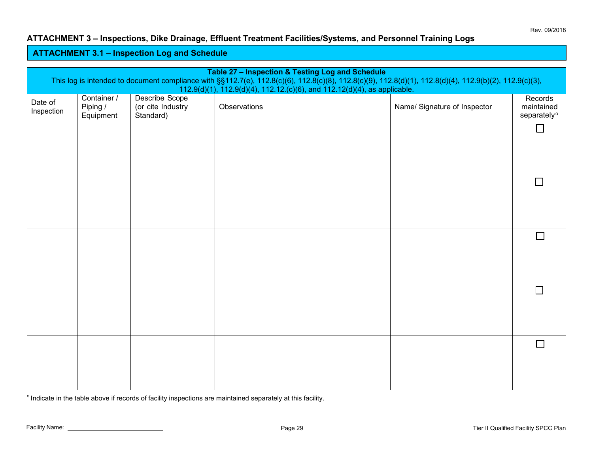### **ATTACHMENT 3 – Inspections, Dike Drainage, Effluent Treatment Facilities/Systems, and Personnel Training Logs**

### **ATTACHMENT 3.1 – Inspection Log and Schedule**

| Table 27 - Inspection & Testing Log and Schedule<br>This log is intended to document compliance with §§112.7(e), 112.8(c)(6), 112.8(c)(8), 112.8(c)(9), 112.8(d)(1), 112.8(d)(4), 112.9(b)(2), 112.9(c)(3), |                                      |                                                  |                                                                                           |                              |                                                  |
|-------------------------------------------------------------------------------------------------------------------------------------------------------------------------------------------------------------|--------------------------------------|--------------------------------------------------|-------------------------------------------------------------------------------------------|------------------------------|--------------------------------------------------|
| Date of<br>Inspection                                                                                                                                                                                       | Container /<br>Piping /<br>Equipment | Describe Scope<br>(or cite Industry<br>Standard) | 112.9(d)(1), 112.9(d)(4), 112.12.(c)(6), and 112.12(d)(4), as applicable.<br>Observations | Name/ Signature of Inspector | Records<br>maintained<br>separately <sup>o</sup> |
|                                                                                                                                                                                                             |                                      |                                                  |                                                                                           |                              | $\Box$                                           |
|                                                                                                                                                                                                             |                                      |                                                  |                                                                                           |                              |                                                  |
|                                                                                                                                                                                                             |                                      |                                                  |                                                                                           |                              | $\Box$                                           |
|                                                                                                                                                                                                             |                                      |                                                  |                                                                                           |                              |                                                  |
|                                                                                                                                                                                                             |                                      |                                                  |                                                                                           |                              | П                                                |
|                                                                                                                                                                                                             |                                      |                                                  |                                                                                           |                              |                                                  |
|                                                                                                                                                                                                             |                                      |                                                  |                                                                                           |                              | $\Box$                                           |
|                                                                                                                                                                                                             |                                      |                                                  |                                                                                           |                              |                                                  |
|                                                                                                                                                                                                             |                                      |                                                  |                                                                                           |                              | П                                                |
|                                                                                                                                                                                                             |                                      |                                                  |                                                                                           |                              |                                                  |

 $^{\circ}$  Indicate in the table above if records of facility inspections are maintained separately at this facility.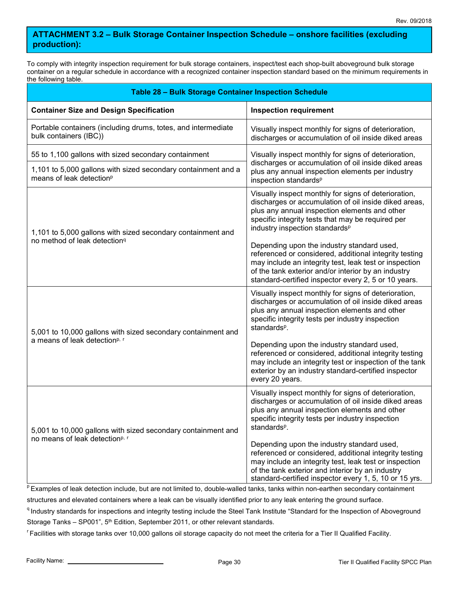## **ATTACHMENT 3.2 – Bulk Storage Container Inspection Schedule – onshore facilities (excluding production):**

To comply with integrity inspection requirement for bulk storage containers, inspect/test each shop-built aboveground bulk storage container on a regular schedule in accordance with a recognized container inspection standard based on the minimum requirements in the following table.

| <b>Table 28 - Bulk Storage Container Inspection Schedule</b>                                          |                                                                                                                                                                                                                                                                               |  |  |
|-------------------------------------------------------------------------------------------------------|-------------------------------------------------------------------------------------------------------------------------------------------------------------------------------------------------------------------------------------------------------------------------------|--|--|
| <b>Container Size and Design Specification</b>                                                        | <b>Inspection requirement</b>                                                                                                                                                                                                                                                 |  |  |
| Portable containers (including drums, totes, and intermediate<br>bulk containers (IBC))               | Visually inspect monthly for signs of deterioration,<br>discharges or accumulation of oil inside diked areas                                                                                                                                                                  |  |  |
| 55 to 1,100 gallons with sized secondary containment                                                  | Visually inspect monthly for signs of deterioration,<br>discharges or accumulation of oil inside diked areas<br>plus any annual inspection elements per industry<br>inspection standards <sup>p</sup>                                                                         |  |  |
| 1,101 to 5,000 gallons with sized secondary containment and a<br>means of leak detection <sup>p</sup> |                                                                                                                                                                                                                                                                               |  |  |
| 1,101 to 5,000 gallons with sized secondary containment and                                           | Visually inspect monthly for signs of deterioration,<br>discharges or accumulation of oil inside diked areas,<br>plus any annual inspection elements and other<br>specific integrity tests that may be required per<br>industry inspection standards <sup>p</sup>             |  |  |
| no method of leak detection <sup>q</sup>                                                              | Depending upon the industry standard used,<br>referenced or considered, additional integrity testing<br>may include an integrity test, leak test or inspection<br>of the tank exterior and/or interior by an industry<br>standard-certified inspector every 2, 5 or 10 years. |  |  |
| 5,001 to 10,000 gallons with sized secondary containment and                                          | Visually inspect monthly for signs of deterioration,<br>discharges or accumulation of oil inside diked areas<br>plus any annual inspection elements and other<br>specific integrity tests per industry inspection<br>standards <sup>p</sup> .                                 |  |  |
| a means of leak detection <sup>p, r</sup>                                                             | Depending upon the industry standard used,<br>referenced or considered, additional integrity testing<br>may include an integrity test or inspection of the tank<br>exterior by an industry standard-certified inspector<br>every 20 years.                                    |  |  |
| 5,001 to 10,000 gallons with sized secondary containment and                                          | Visually inspect monthly for signs of deterioration,<br>discharges or accumulation of oil inside diked areas<br>plus any annual inspection elements and other<br>specific integrity tests per industry inspection<br>standards <sup>p</sup> .                                 |  |  |
| no means of leak detection <sup>p, r</sup>                                                            | Depending upon the industry standard used,<br>referenced or considered, additional integrity testing<br>may include an integrity test, leak test or inspection<br>of the tank exterior and interior by an industry<br>standard-certified inspector every 1, 5, 10 or 15 yrs.  |  |  |

PExamples of leak detection include, but are not limited to, double-walled tanks, tanks within non-earthen secondary containment structures and elevated containers where a leak can be visually identified prior to any leak entering the ground surface.

<sup>q</sup> Industry standards for inspections and integrity testing include the Steel Tank Institute "Standard for the Inspection of Aboveground Storage Tanks – SP001", 5<sup>th</sup> Edition, September 2011, or other relevant standards.

<sup>r</sup>Facilities with storage tanks over 10,000 gallons oil storage capacity do not meet the criteria for a Tier II Qualified Facility.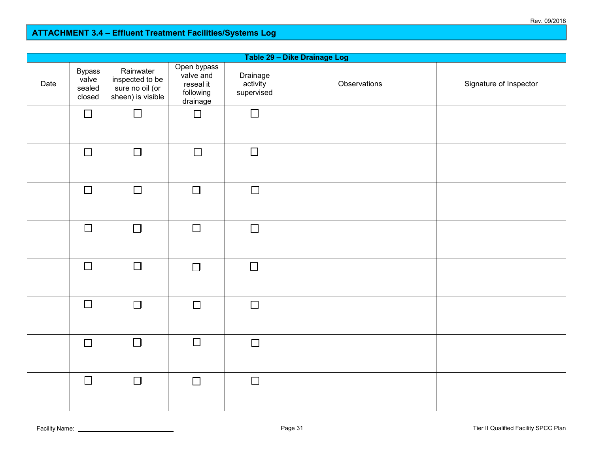### **ATTACHMENT 3.3 – Dike Drainage Log ATTACHMENT 3.4 – Effluent Treatment Facilities/Systems Log**

| Table 29 - Dike Drainage Log |                                            |                                                                      |                                                                |                                    |              |                        |  |
|------------------------------|--------------------------------------------|----------------------------------------------------------------------|----------------------------------------------------------------|------------------------------------|--------------|------------------------|--|
| Date                         | <b>Bypass</b><br>valve<br>sealed<br>closed | Rainwater<br>inspected to be<br>sure no oil (or<br>sheen) is visible | Open bypass<br>valve and<br>reseal it<br>following<br>drainage | Drainage<br>activity<br>supervised | Observations | Signature of Inspector |  |
|                              | $\Box$                                     | $\Box$                                                               | $\Box$                                                         | $\Box$                             |              |                        |  |
|                              | $\Box$                                     | $\Box$                                                               | $\Box$                                                         | $\Box$                             |              |                        |  |
|                              | $\Box$                                     | $\Box$                                                               | $\Box$                                                         | $\Box$                             |              |                        |  |
|                              | $\Box$                                     | $\Box$                                                               | $\Box$                                                         | $\Box$                             |              |                        |  |
|                              | $\Box$                                     | $\Box$                                                               | $\Box$                                                         | $\Box$                             |              |                        |  |
|                              | $\Box$                                     | $\Box$                                                               | $\Box$                                                         | $\Box$                             |              |                        |  |
|                              | $\Box$                                     | $\Box$                                                               | $\Box$                                                         | $\Box$                             |              |                        |  |
|                              | $\Box$                                     | $\Box$                                                               | $\Box$                                                         | $\Box$                             |              |                        |  |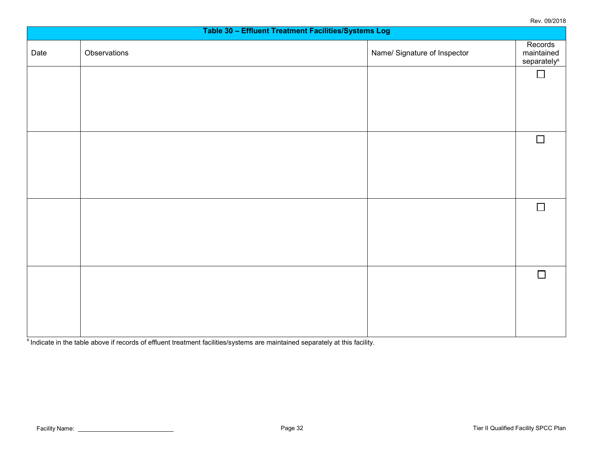Rev. 09/2018

| .<br>Table 30 - Effluent Treatment Facilities/Systems Log |              |                              |                                      |  |  |
|-----------------------------------------------------------|--------------|------------------------------|--------------------------------------|--|--|
| Date                                                      | Observations | Name/ Signature of Inspector | Records<br>maintained<br>separatelys |  |  |
|                                                           |              |                              | $\Box$                               |  |  |
|                                                           |              |                              |                                      |  |  |
|                                                           |              |                              |                                      |  |  |
|                                                           |              |                              | $\Box$                               |  |  |
|                                                           |              |                              |                                      |  |  |
|                                                           |              |                              |                                      |  |  |
|                                                           |              |                              | $\Box$                               |  |  |
|                                                           |              |                              |                                      |  |  |
|                                                           |              |                              |                                      |  |  |
|                                                           |              |                              | $\Box$                               |  |  |
|                                                           |              |                              |                                      |  |  |
|                                                           |              |                              |                                      |  |  |
|                                                           |              |                              |                                      |  |  |

s Indicate in the table above if records of effluent treatment facilities/systems are maintained separately at this facility.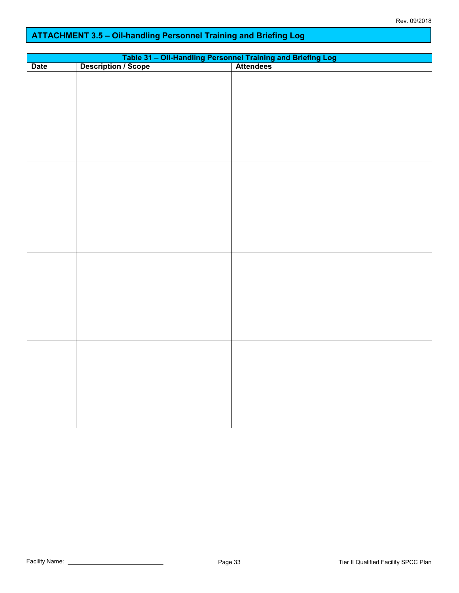# **ATTACHMENT 3.5 – Oil-handling Personnel Training and Briefing Log**

| <b>Date</b> |  |  |  |  |
|-------------|--|--|--|--|
|             |  |  |  |  |
|             |  |  |  |  |
|             |  |  |  |  |
|             |  |  |  |  |
|             |  |  |  |  |
|             |  |  |  |  |
|             |  |  |  |  |
|             |  |  |  |  |
|             |  |  |  |  |
|             |  |  |  |  |
|             |  |  |  |  |
|             |  |  |  |  |
|             |  |  |  |  |
|             |  |  |  |  |
|             |  |  |  |  |
|             |  |  |  |  |
|             |  |  |  |  |
|             |  |  |  |  |
|             |  |  |  |  |
|             |  |  |  |  |
|             |  |  |  |  |
|             |  |  |  |  |
|             |  |  |  |  |
|             |  |  |  |  |
|             |  |  |  |  |
|             |  |  |  |  |
|             |  |  |  |  |
|             |  |  |  |  |
|             |  |  |  |  |
|             |  |  |  |  |
|             |  |  |  |  |
|             |  |  |  |  |
|             |  |  |  |  |
|             |  |  |  |  |
|             |  |  |  |  |
|             |  |  |  |  |
|             |  |  |  |  |
|             |  |  |  |  |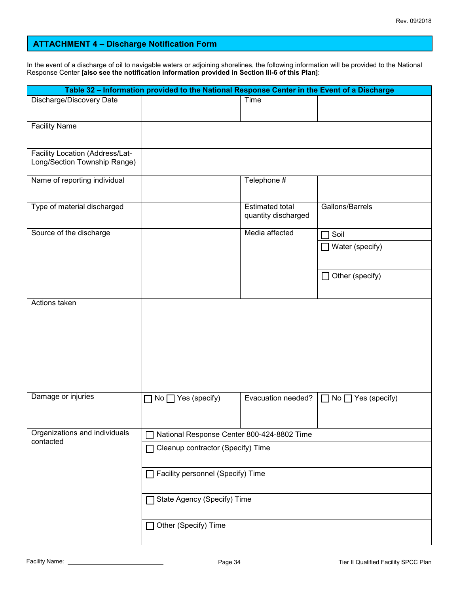#### **ATTACHMENT 4 – Discharge Notification Form**

In the event of a discharge of oil to navigable waters or adjoining shorelines, the following information will be provided to the National Response Center **[also see the notification information provided in Section III-6 of this Plan]**:

|                                            | Table 32 - Information provided to the National Response Center in the Event of a Discharge |                                               |                                |  |
|--------------------------------------------|---------------------------------------------------------------------------------------------|-----------------------------------------------|--------------------------------|--|
| Discharge/Discovery Date                   |                                                                                             | Time                                          |                                |  |
|                                            |                                                                                             |                                               |                                |  |
| <b>Facility Name</b>                       |                                                                                             |                                               |                                |  |
| Facility Location (Address/Lat-            |                                                                                             |                                               |                                |  |
| Long/Section Township Range)               |                                                                                             |                                               |                                |  |
| Name of reporting individual               |                                                                                             | Telephone #                                   |                                |  |
| Type of material discharged                |                                                                                             | <b>Estimated total</b><br>quantity discharged | Gallons/Barrels                |  |
| Source of the discharge                    |                                                                                             | Media affected                                | Soil                           |  |
|                                            |                                                                                             |                                               | $\Box$ Water (specify)         |  |
|                                            |                                                                                             |                                               |                                |  |
|                                            |                                                                                             |                                               | $\Box$ Other (specify)         |  |
| Actions taken                              |                                                                                             |                                               |                                |  |
|                                            |                                                                                             |                                               |                                |  |
|                                            |                                                                                             |                                               |                                |  |
|                                            |                                                                                             |                                               |                                |  |
|                                            |                                                                                             |                                               |                                |  |
|                                            |                                                                                             |                                               |                                |  |
|                                            |                                                                                             |                                               |                                |  |
| Damage or injuries                         |                                                                                             |                                               |                                |  |
|                                            | $\Box$ No $\Box$ Yes (specify)                                                              | Evacuation needed?                            | $\Box$ No $\Box$ Yes (specify) |  |
|                                            |                                                                                             |                                               |                                |  |
| Organizations and individuals<br>contacted | National Response Center 800-424-8802 Time                                                  |                                               |                                |  |
|                                            | Cleanup contractor (Specify) Time                                                           |                                               |                                |  |
|                                            | Facility personnel (Specify) Time                                                           |                                               |                                |  |
|                                            |                                                                                             |                                               |                                |  |
|                                            | State Agency (Specify) Time                                                                 |                                               |                                |  |
|                                            | □ Other (Specify) Time                                                                      |                                               |                                |  |
|                                            |                                                                                             |                                               |                                |  |